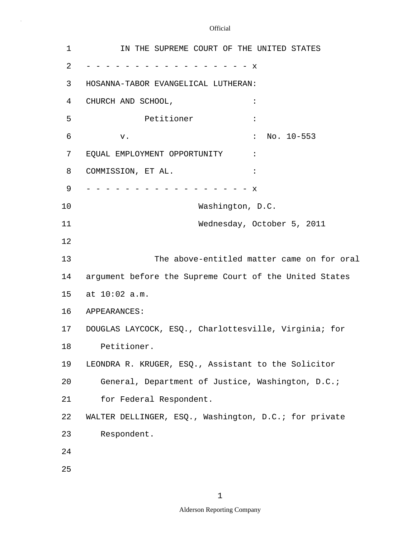$\bar{\gamma}$ 

| 1  | IN THE SUPREME COURT OF THE UNITED STATES              |
|----|--------------------------------------------------------|
| 2  | $\mathbf{x}$                                           |
| 3  | HOSANNA-TABOR EVANGELICAL LUTHERAN:                    |
| 4  | CHURCH AND SCHOOL,                                     |
| 5  | Petitioner<br>$\ddot{\cdot}$                           |
| 6  | No. $10-553$<br>$\ddot{\cdot}$<br>v.                   |
| 7  | EQUAL EMPLOYMENT OPPORTUNITY<br>$\ddot{\cdot}$         |
| 8  | COMMISSION, ET AL.<br>$\ddot{\cdot}$                   |
| 9  | X                                                      |
| 10 | Washington, D.C.                                       |
| 11 | Wednesday, October 5, 2011                             |
| 12 |                                                        |
| 13 | The above-entitled matter came on for oral             |
| 14 | argument before the Supreme Court of the United States |
| 15 | at 10:02 a.m.                                          |
| 16 | APPEARANCES:                                           |
| 17 | DOUGLAS LAYCOCK, ESQ., Charlottesville, Virginia; for  |
| 18 | Petitioner.                                            |
| 19 | LEONDRA R. KRUGER, ESQ., Assistant to the Solicitor    |
| 20 | General, Department of Justice, Washington, D.C.;      |
| 21 | for Federal Respondent.                                |
| 22 | WALTER DELLINGER, ESQ., Washington, D.C.; for private  |
| 23 | Respondent.                                            |
| 24 |                                                        |
| 25 |                                                        |
|    |                                                        |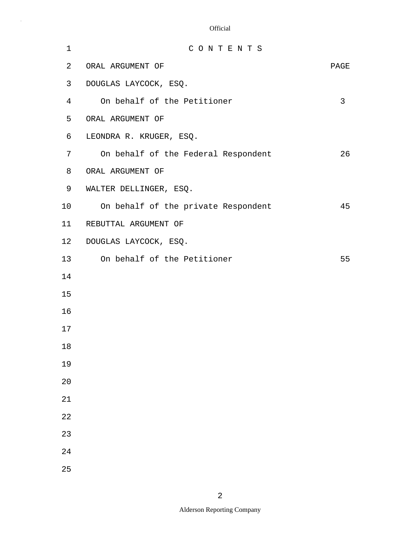| 1  | CONTENTS                            |      |
|----|-------------------------------------|------|
| 2  | ORAL ARGUMENT OF                    | PAGE |
| 3  | DOUGLAS LAYCOCK, ESQ.               |      |
| 4  | On behalf of the Petitioner         | 3    |
| 5  | ORAL ARGUMENT OF                    |      |
| 6  | LEONDRA R. KRUGER, ESQ.             |      |
| 7  | On behalf of the Federal Respondent | 26   |
| 8  | ORAL ARGUMENT OF                    |      |
| 9  | WALTER DELLINGER, ESQ.              |      |
| 10 | On behalf of the private Respondent | 45   |
| 11 | REBUTTAL ARGUMENT OF                |      |
| 12 | DOUGLAS LAYCOCK, ESQ.               |      |
| 13 | On behalf of the Petitioner         | 55   |
| 14 |                                     |      |
| 15 |                                     |      |
| 16 |                                     |      |
| 17 |                                     |      |
| 18 |                                     |      |
| 19 |                                     |      |
| 20 |                                     |      |
| 21 |                                     |      |
| 22 |                                     |      |
| 23 |                                     |      |
| 24 |                                     |      |
| 25 |                                     |      |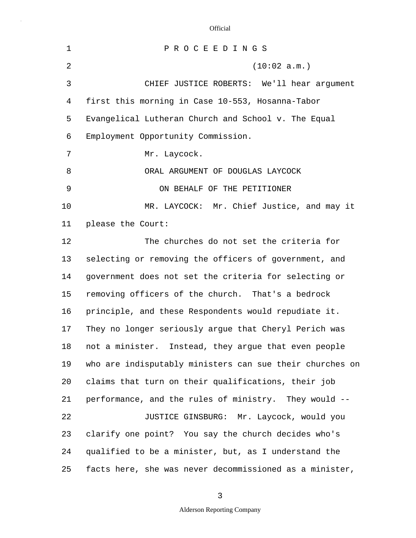5 10 15 20 25 1 P R O C E E D I N G S 2 (10:02 a.m.) 3 CHIEF JUSTICE ROBERTS: We'll hear argument 4 first this morning in Case 10-553, Hosanna-Tabor Evangelical Lutheran Church and School v. The Equal 6 Employment Opportunity Commission. 7 Mr. Laycock. 8 ORAL ARGUMENT OF DOUGLAS LAYCOCK 9 ON BEHALF OF THE PETITIONER MR. LAYCOCK: Mr. Chief Justice, and may it 11 please the Court: 12 The churches do not set the criteria for 13 selecting or removing the officers of government, and 14 government does not set the criteria for selecting or removing officers of the church. That's a bedrock 16 principle, and these Respondents would repudiate it. 17 They no longer seriously argue that Cheryl Perich was 18 not a minister. Instead, they argue that even people 19 who are indisputably ministers can sue their churches on claims that turn on their qualifications, their job 21 performance, and the rules of ministry. They would -- 22 JUSTICE GINSBURG: Mr. Laycock, would you 23 clarify one point? You say the church decides who's 24 qualified to be a minister, but, as I understand the facts here, she was never decommissioned as a minister,

3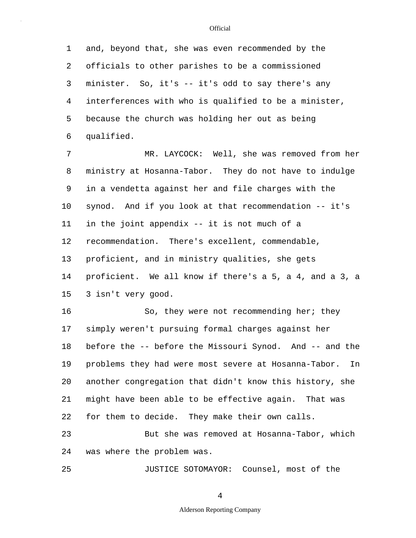5 1 and, beyond that, she was even recommended by the 2 officials to other parishes to be a commissioned 3 minister. So, it's -- it's odd to say there's any 4 interferences with who is qualified to be a minister, because the church was holding her out as being 6 qualified.

10 15 7 MR. LAYCOCK: Well, she was removed from her 8 ministry at Hosanna-Tabor. They do not have to indulge 9 in a vendetta against her and file charges with the synod. And if you look at that recommendation -- it's 11 in the joint appendix -- it is not much of a 12 recommendation. There's excellent, commendable, 13 proficient, and in ministry qualities, she gets 14 proficient. We all know if there's a 5, a 4, and a 3, a 3 isn't very good.

20 16 So, they were not recommending her; they 17 simply weren't pursuing formal charges against her 18 before the -- before the Missouri Synod. And -- and the 19 problems they had were most severe at Hosanna-Tabor. In another congregation that didn't know this history, she 21 might have been able to be effective again. That was 22 for them to decide. They make their own calls. 23 But she was removed at Hosanna-Tabor, which 24 was where the problem was.

25 JUSTICE SOTOMAYOR: Counsel, most of the

4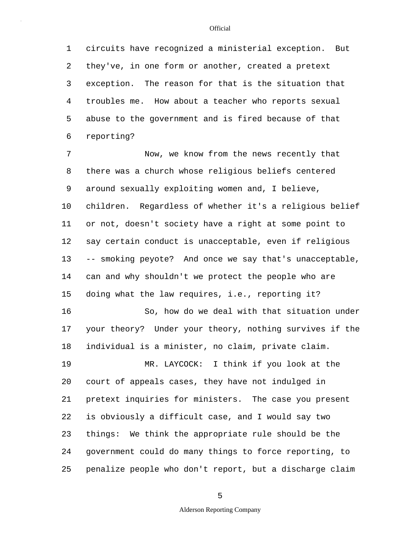5 1 circuits have recognized a ministerial exception. But 2 they've, in one form or another, created a pretext 3 exception. The reason for that is the situation that 4 troubles me. How about a teacher who reports sexual abuse to the government and is fired because of that 6 reporting?

10 15 7 Now, we know from the news recently that 8 there was a church whose religious beliefs centered 9 around sexually exploiting women and, I believe, children. Regardless of whether it's a religious belief 11 or not, doesn't society have a right at some point to 12 say certain conduct is unacceptable, even if religious 13 -- smoking peyote? And once we say that's unacceptable, 14 can and why shouldn't we protect the people who are doing what the law requires, i.e., reporting it? 16 So, how do we deal with that situation under

17 your theory? Under your theory, nothing survives if the 18 individual is a minister, no claim, private claim.

20 25 19 MR. LAYCOCK: I think if you look at the court of appeals cases, they have not indulged in 21 pretext inquiries for ministers. The case you present 22 is obviously a difficult case, and I would say two 23 things: We think the appropriate rule should be the 24 government could do many things to force reporting, to penalize people who don't report, but a discharge claim

5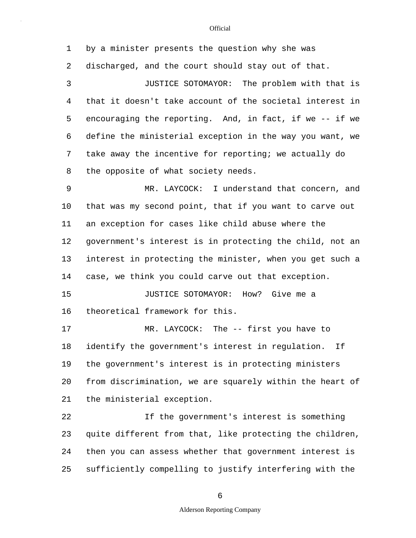5 10 15 20 25 1 by a minister presents the question why she was 2 discharged, and the court should stay out of that. 3 JUSTICE SOTOMAYOR: The problem with that is 4 that it doesn't take account of the societal interest in encouraging the reporting. And, in fact, if we -- if we 6 define the ministerial exception in the way you want, we 7 take away the incentive for reporting; we actually do 8 the opposite of what society needs. 9 MR. LAYCOCK: I understand that concern, and that was my second point, that if you want to carve out 11 an exception for cases like child abuse where the 12 government's interest is in protecting the child, not an 13 interest in protecting the minister, when you get such a 14 case, we think you could carve out that exception. JUSTICE SOTOMAYOR: How? Give me a 16 theoretical framework for this. 17 MR. LAYCOCK: The -- first you have to 18 identify the government's interest in regulation. If 19 the government's interest is in protecting ministers from discrimination, we are squarely within the heart of 21 the ministerial exception. 22 If the government's interest is something 23 quite different from that, like protecting the children, 24 then you can assess whether that government interest is sufficiently compelling to justify interfering with the

6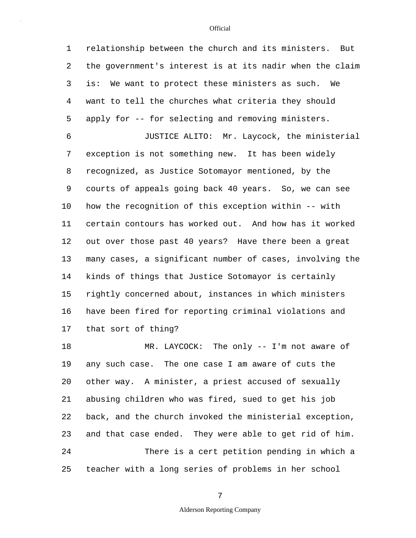5 10 15 20 1 relationship between the church and its ministers. But 2 the government's interest is at its nadir when the claim 3 is: We want to protect these ministers as such. We 4 want to tell the churches what criteria they should apply for -- for selecting and removing ministers. 6 JUSTICE ALITO: Mr. Laycock, the ministerial 7 exception is not something new. It has been widely 8 recognized, as Justice Sotomayor mentioned, by the 9 courts of appeals going back 40 years. So, we can see how the recognition of this exception within -- with 11 certain contours has worked out. And how has it worked 12 out over those past 40 years? Have there been a great 13 many cases, a significant number of cases, involving the 14 kinds of things that Justice Sotomayor is certainly rightly concerned about, instances in which ministers 16 have been fired for reporting criminal violations and 17 that sort of thing? 18 MR. LAYCOCK: The only -- I'm not aware of 19 any such case. The one case I am aware of cuts the other way. A minister, a priest accused of sexually 21 abusing children who was fired, sued to get his job 22 back, and the church invoked the ministerial exception, 23 and that case ended. They were able to get rid of him. 24 There is a cert petition pending in which a

25 teacher with a long series of problems in her school

7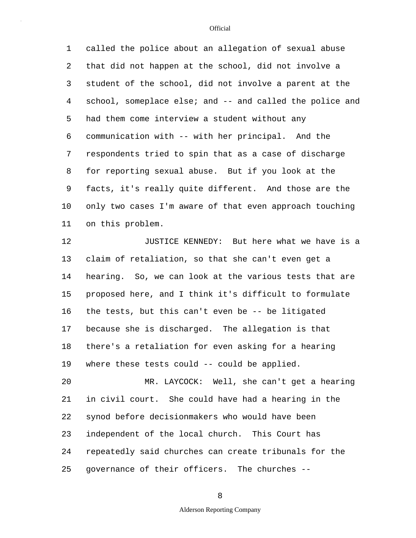5 10 1 called the police about an allegation of sexual abuse 2 that did not happen at the school, did not involve a 3 student of the school, did not involve a parent at the 4 school, someplace else; and -- and called the police and had them come interview a student without any 6 communication with -- with her principal. And the 7 respondents tried to spin that as a case of discharge 8 for reporting sexual abuse. But if you look at the 9 facts, it's really quite different. And those are the only two cases I'm aware of that even approach touching 11 on this problem.

15 12 JUSTICE KENNEDY: But here what we have is a 13 claim of retaliation, so that she can't even get a 14 hearing. So, we can look at the various tests that are proposed here, and I think it's difficult to formulate 16 the tests, but this can't even be -- be litigated 17 because she is discharged. The allegation is that 18 there's a retaliation for even asking for a hearing 19 where these tests could -- could be applied.

20 25 MR. LAYCOCK: Well, she can't get a hearing 21 in civil court. She could have had a hearing in the 22 synod before decisionmakers who would have been 23 independent of the local church. This Court has 24 repeatedly said churches can create tribunals for the governance of their officers. The churches --

**Official** 

Alderson Reporting Company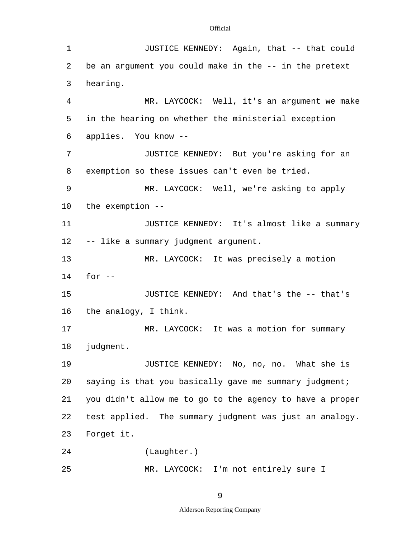| 1               | JUSTICE KENNEDY: Again, that -- that could               |
|-----------------|----------------------------------------------------------|
| 2               | be an argument you could make in the -- in the pretext   |
| 3               | hearing.                                                 |
| 4               | MR. LAYCOCK: Well, it's an argument we make              |
| 5               | in the hearing on whether the ministerial exception      |
| 6               | applies. You know --                                     |
| 7               | JUSTICE KENNEDY: But you're asking for an                |
| 8               | exemption so these issues can't even be tried.           |
| 9               | MR. LAYCOCK: Well, we're asking to apply                 |
| 10              | the exemption --                                         |
| 11              | JUSTICE KENNEDY: It's almost like a summary              |
| 12 <sup>°</sup> | -- like a summary judgment argument.                     |
| 13              | MR. LAYCOCK: It was precisely a motion                   |
| 14              | for $--$                                                 |
| 15              | JUSTICE KENNEDY: And that's the -- that's                |
| 16              | the analogy, I think.                                    |
| 17              | MR. LAYCOCK: It was a motion for summary                 |
| 18              | judgment.                                                |
| 19              | JUSTICE KENNEDY: No, no, no. What she is                 |
| 20              | saying is that you basically gave me summary judgment;   |
| 21              | you didn't allow me to go to the agency to have a proper |
| 22              | test applied. The summary judgment was just an analogy.  |
| 23              | Forget it.                                               |
| 24              | (Laughter.)                                              |
| 25              | MR. LAYCOCK: I'm not entirely sure I                     |

9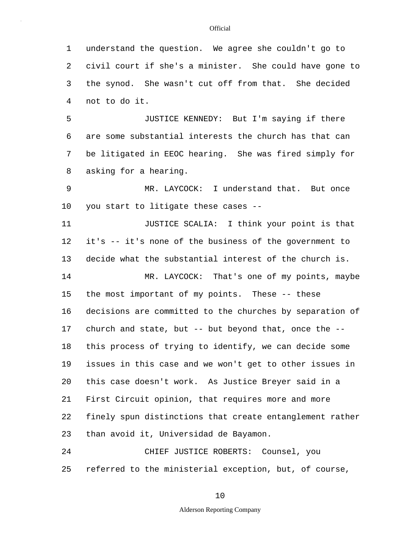1 understand the question. We agree she couldn't go to 2 civil court if she's a minister. She could have gone to 3 the synod. She wasn't cut off from that. She decided 4 not to do it.

5 JUSTICE KENNEDY: But I'm saying if there 6 are some substantial interests the church has that can 7 be litigated in EEOC hearing. She was fired simply for 8 asking for a hearing.

10 9 MR. LAYCOCK: I understand that. But once you start to litigate these cases --

11 JUSTICE SCALIA: I think your point is that 12 it's -- it's none of the business of the government to 13 decide what the substantial interest of the church is.

15 20 14 MR. LAYCOCK: That's one of my points, maybe the most important of my points. These -- these 16 decisions are committed to the churches by separation of 17 church and state, but -- but beyond that, once the -- 18 this process of trying to identify, we can decide some 19 issues in this case and we won't get to other issues in this case doesn't work. As Justice Breyer said in a 21 First Circuit opinion, that requires more and more 22 finely spun distinctions that create entanglement rather 23 than avoid it, Universidad de Bayamon.

25 24 CHIEF JUSTICE ROBERTS: Counsel, you referred to the ministerial exception, but, of course,

#### **Official**

10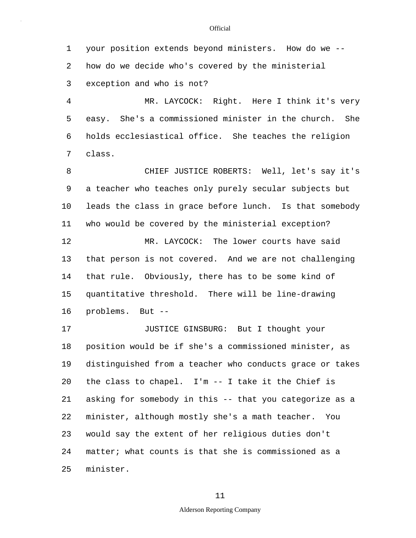1 your position extends beyond ministers. How do we -- 2 how do we decide who's covered by the ministerial 3 exception and who is not?

5 4 MR. LAYCOCK: Right. Here I think it's very easy. She's a commissioned minister in the church. She 6 holds ecclesiastical office. She teaches the religion 7 class.

10 15 8 CHIEF JUSTICE ROBERTS: Well, let's say it's 9 a teacher who teaches only purely secular subjects but leads the class in grace before lunch. Is that somebody 11 who would be covered by the ministerial exception? 12 MR. LAYCOCK: The lower courts have said 13 that person is not covered. And we are not challenging 14 that rule. Obviously, there has to be some kind of quantitative threshold. There will be line-drawing 16 problems. But --

20 25 17 JUSTICE GINSBURG: But I thought your 18 position would be if she's a commissioned minister, as 19 distinguished from a teacher who conducts grace or takes the class to chapel. I'm -- I take it the Chief is 21 asking for somebody in this -- that you categorize as a 22 minister, although mostly she's a math teacher. You 23 would say the extent of her religious duties don't 24 matter; what counts is that she is commissioned as a minister.

11

### Alderson Reporting Company

#### **Official**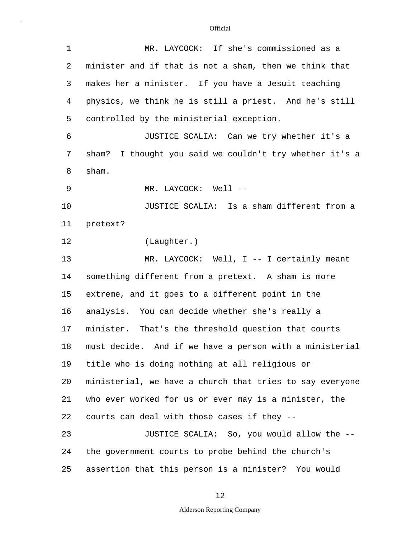| $\mathbf 1$ | MR. LAYCOCK: If she's commissioned as a                    |
|-------------|------------------------------------------------------------|
| 2           | minister and if that is not a sham, then we think that     |
| 3           | makes her a minister. If you have a Jesuit teaching        |
| 4           | physics, we think he is still a priest. And he's still     |
| 5           | controlled by the ministerial exception.                   |
| 6           | JUSTICE SCALIA: Can we try whether it's a                  |
| 7           | I thought you said we couldn't try whether it's a<br>sham? |
| 8           | sham.                                                      |
| 9           | MR. LAYCOCK: Well --                                       |
| 10          | JUSTICE SCALIA: Is a sham different from a                 |
| 11          | pretext?                                                   |
| 12          | (Laughter.)                                                |
| 13          | MR. LAYCOCK: Well, I -- I certainly meant                  |
| 14          | something different from a pretext. A sham is more         |
| 15          | extreme, and it goes to a different point in the           |
| 16          | analysis. You can decide whether she's really a            |
| 17          | minister. That's the threshold question that courts        |
| 18          | must decide. And if we have a person with a ministerial    |
| 19          | title who is doing nothing at all religious or             |
| 20          | ministerial, we have a church that tries to say everyone   |
| 21          | who ever worked for us or ever may is a minister, the      |
| 22          | courts can deal with those cases if they --                |
| 23          | JUSTICE SCALIA: So, you would allow the --                 |
| 24          | the government courts to probe behind the church's         |
| 25          | assertion that this person is a minister? You would        |

12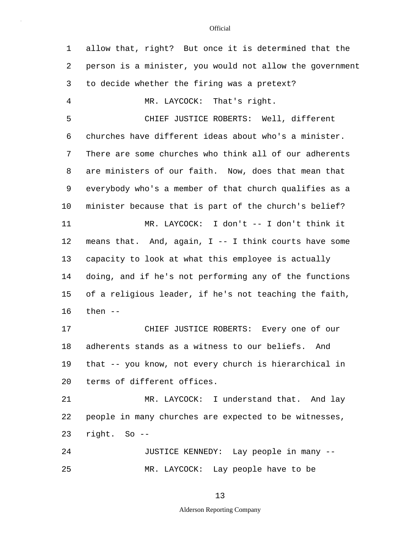5 10 15 20 25 1 allow that, right? But once it is determined that the 2 person is a minister, you would not allow the government 3 to decide whether the firing was a pretext? 4 MR. LAYCOCK: That's right. CHIEF JUSTICE ROBERTS: Well, different 6 churches have different ideas about who's a minister. 7 There are some churches who think all of our adherents 8 are ministers of our faith. Now, does that mean that 9 everybody who's a member of that church qualifies as a minister because that is part of the church's belief? 11 MR. LAYCOCK: I don't -- I don't think it 12 means that. And, again, I -- I think courts have some 13 capacity to look at what this employee is actually 14 doing, and if he's not performing any of the functions of a religious leader, if he's not teaching the faith, 16 then -- 17 CHIEF JUSTICE ROBERTS: Every one of our 18 adherents stands as a witness to our beliefs. And 19 that -- you know, not every church is hierarchical in terms of different offices. 21 MR. LAYCOCK: I understand that. And lay 22 people in many churches are expected to be witnesses, 23 right. So -- 24 JUSTICE KENNEDY: Lay people in many -- MR. LAYCOCK: Lay people have to be

#### 13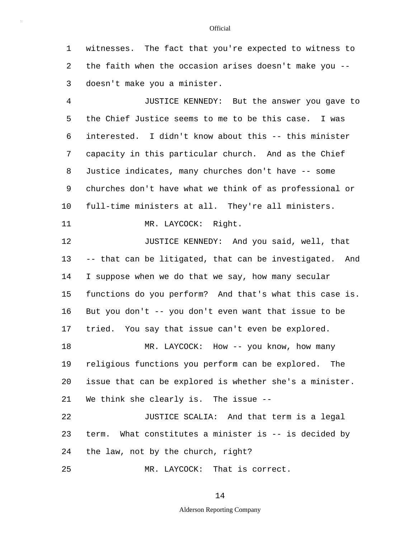1 witnesses. The fact that you're expected to witness to 2 the faith when the occasion arises doesn't make you -- 3 doesn't make you a minister.

5 10 4 JUSTICE KENNEDY: But the answer you gave to the Chief Justice seems to me to be this case. I was 6 interested. I didn't know about this -- this minister 7 capacity in this particular church. And as the Chief 8 Justice indicates, many churches don't have -- some 9 churches don't have what we think of as professional or full-time ministers at all. They're all ministers.

11 MR. LAYCOCK: Right.

15 20 12 **JUSTICE KENNEDY:** And you said, well, that 13 -- that can be litigated, that can be investigated. And 14 I suppose when we do that we say, how many secular functions do you perform? And that's what this case is. 16 But you don't -- you don't even want that issue to be 17 tried. You say that issue can't even be explored. 18 MR. LAYCOCK: How -- you know, how many 19 religious functions you perform can be explored. The issue that can be explored is whether she's a minister.

22 JUSTICE SCALIA: And that term is a legal 23 term. What constitutes a minister is -- is decided by 24 the law, not by the church, right?

25 MR. LAYCOCK: That is correct.

21 We think she clearly is. The issue --

14

### Alderson Reporting Company

#### **Official**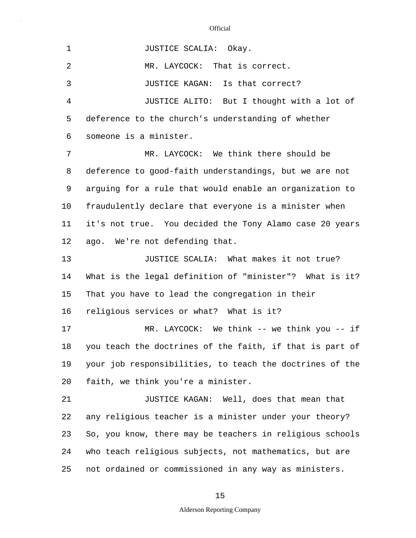5 10 15 20 25 1 JUSTICE SCALIA: Okay. 2 MR. LAYCOCK: That is correct. 3 JUSTICE KAGAN: Is that correct? 4 JUSTICE ALITO: But I thought with a lot of deference to the church's understanding of whether 6 someone is a minister. 7 MR. LAYCOCK: We think there should be 8 deference to good-faith understandings, but we are not 9 arguing for a rule that would enable an organization to fraudulently declare that everyone is a minister when 11 it's not true. You decided the Tony Alamo case 20 years 12 ago. We're not defending that. 13 **JUSTICE SCALIA:** What makes it not true? 14 What is the legal definition of "minister"? What is it? That you have to lead the congregation in their 16 religious services or what? What is it? 17 MR. LAYCOCK: We think -- we think you -- if 18 you teach the doctrines of the faith, if that is part of 19 your job responsibilities, to teach the doctrines of the faith, we think you're a minister. 21 JUSTICE KAGAN: Well, does that mean that 22 any religious teacher is a minister under your theory? 23 So, you know, there may be teachers in religious schools 24 who teach religious subjects, not mathematics, but are not ordained or commissioned in any way as ministers.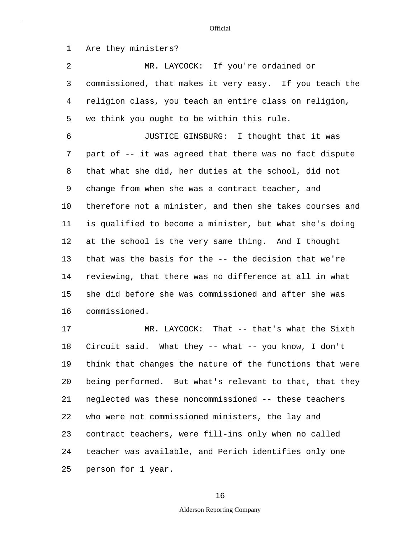1 Are they ministers?

5 2 MR. LAYCOCK: If you're ordained or 3 commissioned, that makes it very easy. If you teach the 4 religion class, you teach an entire class on religion, we think you ought to be within this rule.

10 15 6 JUSTICE GINSBURG: I thought that it was 7 part of -- it was agreed that there was no fact dispute 8 that what she did, her duties at the school, did not 9 change from when she was a contract teacher, and therefore not a minister, and then she takes courses and 11 is qualified to become a minister, but what she's doing 12 at the school is the very same thing. And I thought 13 that was the basis for the -- the decision that we're 14 reviewing, that there was no difference at all in what she did before she was commissioned and after she was 16 commissioned.

20 25 17 MR. LAYCOCK: That -- that's what the Sixth 18 Circuit said. What they -- what -- you know, I don't 19 think that changes the nature of the functions that were being performed. But what's relevant to that, that they 21 neglected was these noncommissioned -- these teachers 22 who were not commissioned ministers, the lay and 23 contract teachers, were fill-ins only when no called 24 teacher was available, and Perich identifies only one person for 1 year.

16

### Alderson Reporting Company

**Official**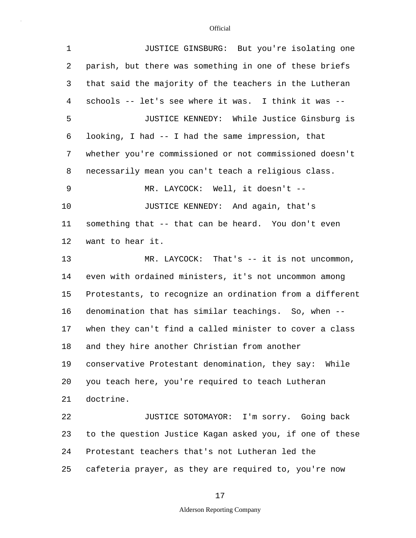| $\mathbf 1$ | JUSTICE GINSBURG: But you're isolating one               |
|-------------|----------------------------------------------------------|
| 2           | parish, but there was something in one of these briefs   |
| 3           | that said the majority of the teachers in the Lutheran   |
| 4           | schools -- let's see where it was. I think it was --     |
| 5           | JUSTICE KENNEDY: While Justice Ginsburg is               |
| 6           | looking, I had -- I had the same impression, that        |
| 7           | whether you're commissioned or not commissioned doesn't  |
| 8           | necessarily mean you can't teach a religious class.      |
| 9           | MR. LAYCOCK: Well, it doesn't --                         |
| 10          | JUSTICE KENNEDY: And again, that's                       |
| 11          | something that -- that can be heard. You don't even      |
| 12          | want to hear it.                                         |
| 13          | $MR. LAYCOCK: That's -- it is not uncommon,$             |
| 14          | even with ordained ministers, it's not uncommon among    |
| 15          | Protestants, to recognize an ordination from a different |
| 16          | denomination that has similar teachings. So, when --     |
| 17          | when they can't find a called minister to cover a class  |
| 18          | and they hire another Christian from another             |
| 19          | conservative Protestant denomination, they say: While    |
| 20          | you teach here, you're required to teach Lutheran        |
| 21          | doctrine.                                                |
| 22          | JUSTICE SOTOMAYOR: I'm sorry. Going back                 |
| 23          | to the question Justice Kagan asked you, if one of these |
| 24          | Protestant teachers that's not Lutheran led the          |
| 25          | cafeteria prayer, as they are required to, you're now    |

17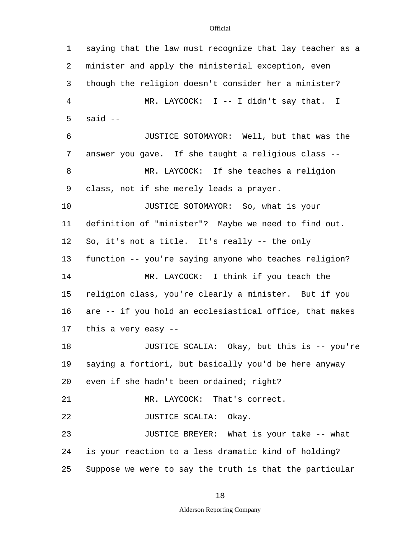5 10 15 20 25 1 saying that the law must recognize that lay teacher as a 2 minister and apply the ministerial exception, even 3 though the religion doesn't consider her a minister? 4 MR. LAYCOCK: I -- I didn't say that. I said -- 6 JUSTICE SOTOMAYOR: Well, but that was the 7 answer you gave. If she taught a religious class -- 8 MR. LAYCOCK: If she teaches a religion 9 class, not if she merely leads a prayer. JUSTICE SOTOMAYOR: So, what is your 11 definition of "minister"? Maybe we need to find out. 12 So, it's not a title. It's really -- the only 13 function -- you're saying anyone who teaches religion? 14 MR. LAYCOCK: I think if you teach the religion class, you're clearly a minister. But if you 16 are -- if you hold an ecclesiastical office, that makes 17 this a very easy -- 18 JUSTICE SCALIA: Okay, but this is -- you're 19 saying a fortiori, but basically you'd be here anyway even if she hadn't been ordained; right? 21 MR. LAYCOCK: That's correct. 22 JUSTICE SCALIA: Okay. 23 JUSTICE BREYER: What is your take -- what 24 is your reaction to a less dramatic kind of holding? Suppose we were to say the truth is that the particular

### 18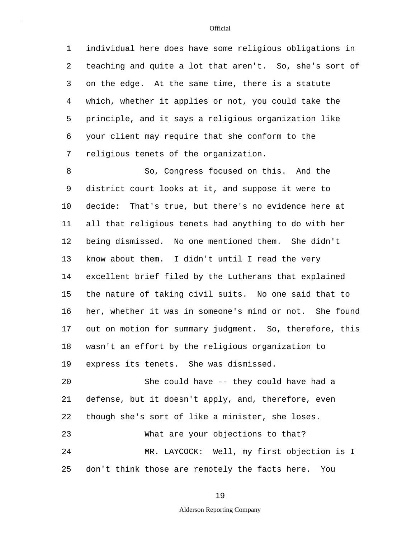5 1 individual here does have some religious obligations in 2 teaching and quite a lot that aren't. So, she's sort of 3 on the edge. At the same time, there is a statute 4 which, whether it applies or not, you could take the principle, and it says a religious organization like 6 your client may require that she conform to the 7 religious tenets of the organization.

10 15 8 So, Congress focused on this. And the 9 district court looks at it, and suppose it were to decide: That's true, but there's no evidence here at 11 all that religious tenets had anything to do with her 12 being dismissed. No one mentioned them. She didn't 13 know about them. I didn't until I read the very 14 excellent brief filed by the Lutherans that explained the nature of taking civil suits. No one said that to 16 her, whether it was in someone's mind or not. She found 17 out on motion for summary judgment. So, therefore, this 18 wasn't an effort by the religious organization to 19 express its tenets. She was dismissed.

20 25 She could have -- they could have had a 21 defense, but it doesn't apply, and, therefore, even 22 though she's sort of like a minister, she loses. 23 What are your objections to that? 24 MR. LAYCOCK: Well, my first objection is I don't think those are remotely the facts here. You

19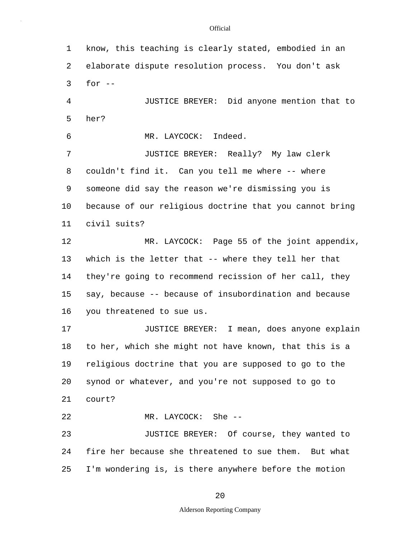5 10 15 20 25 1 know, this teaching is clearly stated, embodied in an 2 elaborate dispute resolution process. You don't ask  $3$  for  $-$ 4 JUSTICE BREYER: Did anyone mention that to her? 6 MR. LAYCOCK: Indeed. 7 JUSTICE BREYER: Really? My law clerk 8 couldn't find it. Can you tell me where -- where 9 someone did say the reason we're dismissing you is because of our religious doctrine that you cannot bring 11 civil suits? 12 MR. LAYCOCK: Page 55 of the joint appendix, 13 which is the letter that -- where they tell her that 14 they're going to recommend recission of her call, they say, because -- because of insubordination and because 16 you threatened to sue us. 17 JUSTICE BREYER: I mean, does anyone explain 18 to her, which she might not have known, that this is a 19 religious doctrine that you are supposed to go to the synod or whatever, and you're not supposed to go to 21 court? 22 MR. LAYCOCK: She -- 23 JUSTICE BREYER: Of course, they wanted to 24 fire her because she threatened to sue them. But what I'm wondering is, is there anywhere before the motion

20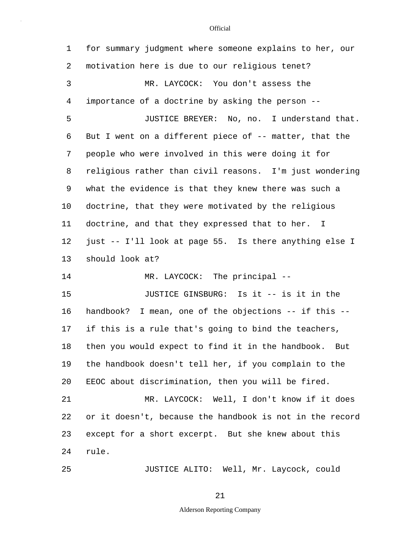| 1  | for summary judgment where someone explains to her, our  |
|----|----------------------------------------------------------|
| 2  | motivation here is due to our religious tenet?           |
| 3  | MR. LAYCOCK: You don't assess the                        |
| 4  | importance of a doctrine by asking the person --         |
| 5  | JUSTICE BREYER: No, no. I understand that.               |
| 6  | But I went on a different piece of -- matter, that the   |
| 7  | people who were involved in this were doing it for       |
| 8  | religious rather than civil reasons. I'm just wondering  |
| 9  | what the evidence is that they knew there was such a     |
| 10 | doctrine, that they were motivated by the religious      |
| 11 | doctrine, and that they expressed that to her. I         |
| 12 | just -- I'll look at page 55. Is there anything else I   |
| 13 | should look at?                                          |
| 14 | MR. LAYCOCK: The principal --                            |
| 15 | JUSTICE GINSBURG: Is it -- is it in the                  |
| 16 | handbook? I mean, one of the objections -- if this --    |
| 17 | if this is a rule that's going to bind the teachers,     |
| 18 | then you would expect to find it in the handbook. But    |
| 19 | the handbook doesn't tell her, if you complain to the    |
| 20 | EEOC about discrimination, then you will be fired.       |
| 21 | MR. LAYCOCK: Well, I don't know if it does               |
| 22 | or it doesn't, because the handbook is not in the record |
| 23 | except for a short excerpt. But she knew about this      |
| 24 | rule.                                                    |
| 25 | JUSTICE ALITO: Well, Mr. Laycock, could                  |

21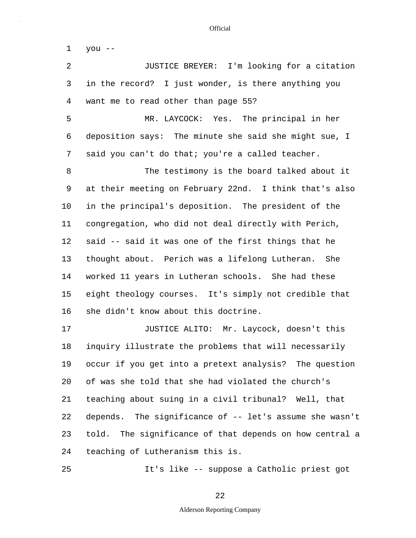| 1       | you --                                                  |
|---------|---------------------------------------------------------|
| 2       | JUSTICE BREYER: I'm looking for a citation              |
| 3       | in the record? I just wonder, is there anything you     |
| 4       | want me to read other than page 55?                     |
| 5       | MR. LAYCOCK: Yes. The principal in her                  |
| 6       | deposition says: The minute she said she might sue, I   |
| 7       | said you can't do that; you're a called teacher.        |
| 8       | The testimony is the board talked about it              |
| 9       | at their meeting on February 22nd. I think that's also  |
| $10 \,$ | in the principal's deposition. The president of the     |
| 11      | congregation, who did not deal directly with Perich,    |
| 12      | said -- said it was one of the first things that he     |
| 13      | thought about. Perich was a lifelong Lutheran. She      |
| 14      | worked 11 years in Lutheran schools. She had these      |
| 15      | eight theology courses. It's simply not credible that   |
| 16      | she didn't know about this doctrine.                    |
| 17      | JUSTICE ALITO: Mr. Laycock, doesn't this                |
| 18      | inquiry illustrate the problems that will necessarily   |
| 19      | occur if you get into a pretext analysis? The question  |
| 20      | of was she told that she had violated the church's      |
| 21      | teaching about suing in a civil tribunal? Well, that    |
| 22      | depends. The significance of -- let's assume she wasn't |
| 23      | told. The significance of that depends on how central a |
| 24      | teaching of Lutheranism this is.                        |
| 25      | It's like -- suppose a Catholic priest got              |

## 22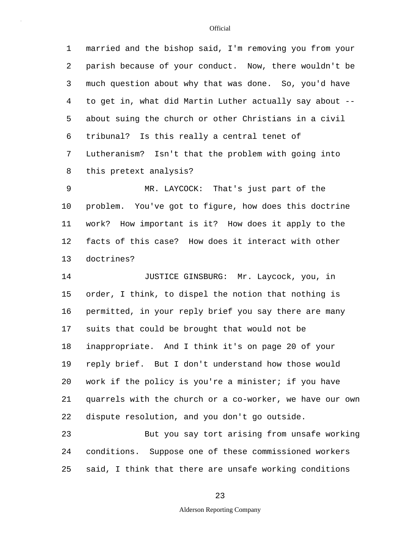5 1 married and the bishop said, I'm removing you from your 2 parish because of your conduct. Now, there wouldn't be 3 much question about why that was done. So, you'd have 4 to get in, what did Martin Luther actually say about - about suing the church or other Christians in a civil 6 tribunal? Is this really a central tenet of 7 Lutheranism? Isn't that the problem with going into 8 this pretext analysis?

10 9 MR. LAYCOCK: That's just part of the problem. You've got to figure, how does this doctrine 11 work? How important is it? How does it apply to the 12 facts of this case? How does it interact with other 13 doctrines?

15 20 14 JUSTICE GINSBURG: Mr. Laycock, you, in order, I think, to dispel the notion that nothing is 16 permitted, in your reply brief you say there are many 17 suits that could be brought that would not be 18 inappropriate. And I think it's on page 20 of your 19 reply brief. But I don't understand how those would work if the policy is you're a minister; if you have 21 quarrels with the church or a co-worker, we have our own 22 dispute resolution, and you don't go outside.

25 23 But you say tort arising from unsafe working 24 conditions. Suppose one of these commissioned workers said, I think that there are unsafe working conditions

#### **Official**

Alderson Reporting Company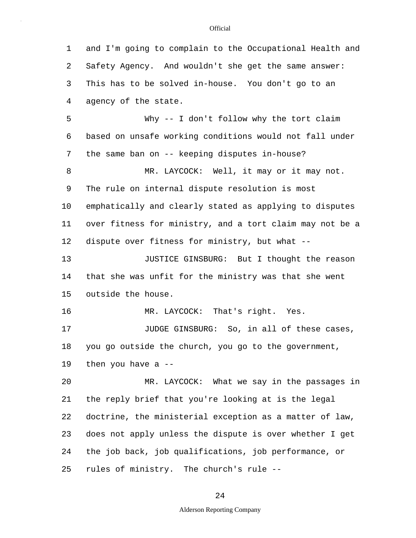5 10 15 20 25 1 and I'm going to complain to the Occupational Health and 2 Safety Agency. And wouldn't she get the same answer: 3 This has to be solved in-house. You don't go to an 4 agency of the state. Why -- I don't follow why the tort claim 6 based on unsafe working conditions would not fall under 7 the same ban on -- keeping disputes in-house? 8 MR. LAYCOCK: Well, it may or it may not. 9 The rule on internal dispute resolution is most emphatically and clearly stated as applying to disputes 11 over fitness for ministry, and a tort claim may not be a 12 dispute over fitness for ministry, but what -- 13 JUSTICE GINSBURG: But I thought the reason 14 that she was unfit for the ministry was that she went outside the house. 16 MR. LAYCOCK: That's right. Yes. 17 **JUDGE GINSBURG:** So, in all of these cases, 18 you go outside the church, you go to the government, 19 then you have a -- MR. LAYCOCK: What we say in the passages in 21 the reply brief that you're looking at is the legal 22 doctrine, the ministerial exception as a matter of law, 23 does not apply unless the dispute is over whether I get 24 the job back, job qualifications, job performance, or rules of ministry. The church's rule --

24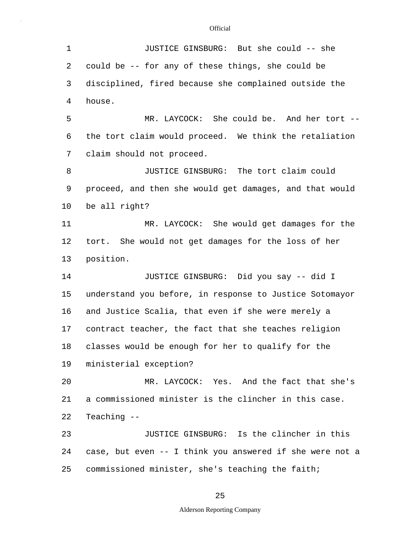| $\mathbf 1$ | JUSTICE GINSBURG: But she could -- she                   |
|-------------|----------------------------------------------------------|
| 2           | could be -- for any of these things, she could be        |
| 3           | disciplined, fired because she complained outside the    |
| 4           | house.                                                   |
| 5           | MR. LAYCOCK: She could be. And her tort --               |
| 6           | the tort claim would proceed. We think the retaliation   |
| 7           | claim should not proceed.                                |
| 8           | JUSTICE GINSBURG: The tort claim could                   |
| 9           | proceed, and then she would get damages, and that would  |
| 10          | be all right?                                            |
| 11          | MR. LAYCOCK: She would get damages for the               |
| 12          | tort. She would not get damages for the loss of her      |
| 13          | position.                                                |
| 14          | JUSTICE GINSBURG: Did you say -- did I                   |
| 15          | understand you before, in response to Justice Sotomayor  |
| 16          | and Justice Scalia, that even if she were merely a       |
| 17          | contract teacher, the fact that she teaches religion     |
| 18          | classes would be enough for her to qualify for the       |
| 19          | ministerial exception?                                   |
| 20          | MR. LAYCOCK: Yes. And the fact that she's                |
| 21          | a commissioned minister is the clincher in this case.    |
| 22          | Teaching --                                              |
| 23          | JUSTICE GINSBURG: Is the clincher in this                |
| 24          | case, but even -- I think you answered if she were not a |
| 25          | commissioned minister, she's teaching the faith;         |

25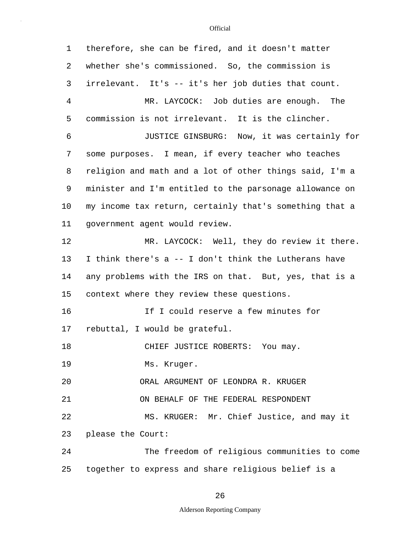| $\mathbf 1$ | therefore, she can be fired, and it doesn't matter      |
|-------------|---------------------------------------------------------|
| 2           | whether she's commissioned. So, the commission is       |
| 3           | irrelevant. It's -- it's her job duties that count.     |
| 4           | MR. LAYCOCK: Job duties are enough. The                 |
| 5           | commission is not irrelevant. It is the clincher.       |
| 6           | JUSTICE GINSBURG: Now, it was certainly for             |
| 7           | some purposes. I mean, if every teacher who teaches     |
| 8           | religion and math and a lot of other things said, I'm a |
| 9           | minister and I'm entitled to the parsonage allowance on |
| 10          | my income tax return, certainly that's something that a |
| 11          | government agent would review.                          |
| 12          | MR. LAYCOCK: Well, they do review it there.             |
| 13          | I think there's a -- I don't think the Lutherans have   |
| 14          | any problems with the IRS on that. But, yes, that is a  |
| 15          | context where they review these questions.              |
| 16          | If I could reserve a few minutes for                    |
| 17          | rebuttal, I would be grateful.                          |
| 18          | CHIEF JUSTICE ROBERTS: You may.                         |
| 19          | Ms. Kruger.                                             |
| 20          | ORAL ARGUMENT OF LEONDRA R. KRUGER                      |
| 21          | ON BEHALF OF THE FEDERAL RESPONDENT                     |
| 22          | MS. KRUGER: Mr. Chief Justice, and may it               |
| 23          | please the Court:                                       |
| 24          | The freedom of religious communities to come            |
| 25          | together to express and share religious belief is a     |

# 26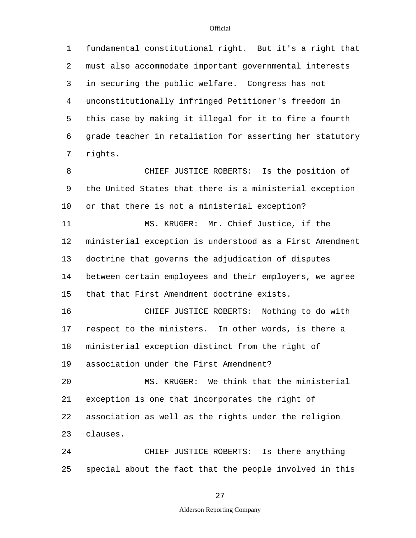5 1 fundamental constitutional right. But it's a right that 2 must also accommodate important governmental interests 3 in securing the public welfare. Congress has not 4 unconstitutionally infringed Petitioner's freedom in this case by making it illegal for it to fire a fourth 6 grade teacher in retaliation for asserting her statutory 7 rights.

10 15 8 CHIEF JUSTICE ROBERTS: Is the position of 9 the United States that there is a ministerial exception or that there is not a ministerial exception? 11 MS. KRUGER: Mr. Chief Justice, if the 12 ministerial exception is understood as a First Amendment 13 doctrine that governs the adjudication of disputes 14 between certain employees and their employers, we agree that that First Amendment doctrine exists.

16 CHIEF JUSTICE ROBERTS: Nothing to do with 17 respect to the ministers. In other words, is there a 18 ministerial exception distinct from the right of 19 association under the First Amendment?

20 MS. KRUGER: We think that the ministerial 21 exception is one that incorporates the right of 22 association as well as the rights under the religion 23 clauses.

25 24 CHIEF JUSTICE ROBERTS: Is there anything special about the fact that the people involved in this

27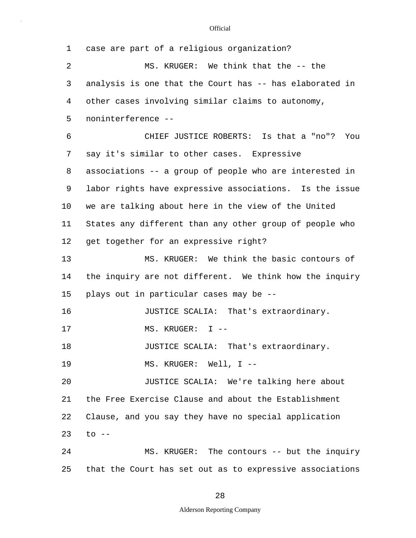| $\mathbf 1$ | case are part of a religious organization?               |
|-------------|----------------------------------------------------------|
| 2           | MS. KRUGER: We think that the -- the                     |
| 3           | analysis is one that the Court has -- has elaborated in  |
| 4           | other cases involving similar claims to autonomy,        |
| 5           | noninterference --                                       |
| 6           | CHIEF JUSTICE ROBERTS: Is that a "no"?<br>You            |
| 7           | say it's similar to other cases. Expressive              |
| 8           | associations -- a group of people who are interested in  |
| 9           | labor rights have expressive associations. Is the issue  |
| 10          | we are talking about here in the view of the United      |
| 11          | States any different than any other group of people who  |
| 12          | get together for an expressive right?                    |
| 13          | MS. KRUGER: We think the basic contours of               |
| 14          | the inquiry are not different. We think how the inquiry  |
| 15          | plays out in particular cases may be --                  |
| 16          | JUSTICE SCALIA: That's extraordinary.                    |
| 17          | MS. KRUGER: I --                                         |
| 18          | JUSTICE SCALIA: That's extraordinary.                    |
| 19          | MS. KRUGER: Well, I --                                   |
| 20          | JUSTICE SCALIA: We're talking here about                 |
| 21          | the Free Exercise Clause and about the Establishment     |
| 22          | Clause, and you say they have no special application     |
| 23          | $\text{to}$ --                                           |
| 24          | MS. KRUGER: The contours -- but the inquiry              |
| 25          | that the Court has set out as to expressive associations |

28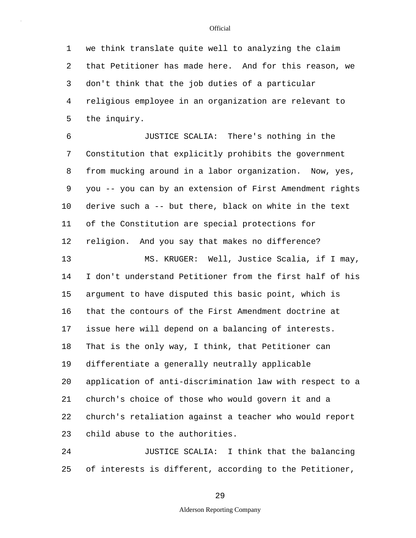5 1 we think translate quite well to analyzing the claim 2 that Petitioner has made here. And for this reason, we 3 don't think that the job duties of a particular 4 religious employee in an organization are relevant to the inquiry.

10 6 JUSTICE SCALIA: There's nothing in the 7 Constitution that explicitly prohibits the government 8 from mucking around in a labor organization. Now, yes, 9 you -- you can by an extension of First Amendment rights derive such a -- but there, black on white in the text 11 of the Constitution are special protections for 12 religion. And you say that makes no difference?

15 20 13 MS. KRUGER: Well, Justice Scalia, if I may, 14 I don't understand Petitioner from the first half of his argument to have disputed this basic point, which is 16 that the contours of the First Amendment doctrine at 17 issue here will depend on a balancing of interests. 18 That is the only way, I think, that Petitioner can 19 differentiate a generally neutrally applicable application of anti-discrimination law with respect to a 21 church's choice of those who would govern it and a 22 church's retaliation against a teacher who would report 23 child abuse to the authorities.

25 24 JUSTICE SCALIA: I think that the balancing of interests is different, according to the Petitioner,

29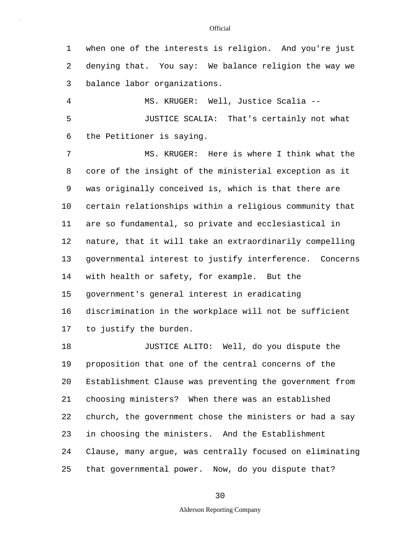1 when one of the interests is religion. And you're just 2 denying that. You say: We balance religion the way we 3 balance labor organizations.

5 4 MS. KRUGER: Well, Justice Scalia -- JUSTICE SCALIA: That's certainly not what 6 the Petitioner is saying.

10 15 7 MS. KRUGER: Here is where I think what the 8 core of the insight of the ministerial exception as it 9 was originally conceived is, which is that there are certain relationships within a religious community that 11 are so fundamental, so private and ecclesiastical in 12 nature, that it will take an extraordinarily compelling 13 governmental interest to justify interference. Concerns 14 with health or safety, for example. But the government's general interest in eradicating 16 discrimination in the workplace will not be sufficient 17 to justify the burden.

20 25 18 JUSTICE ALITO: Well, do you dispute the 19 proposition that one of the central concerns of the Establishment Clause was preventing the government from 21 choosing ministers? When there was an established 22 church, the government chose the ministers or had a say 23 in choosing the ministers. And the Establishment 24 Clause, many argue, was centrally focused on eliminating that governmental power. Now, do you dispute that?

## 30

### Alderson Reporting Company

#### **Official**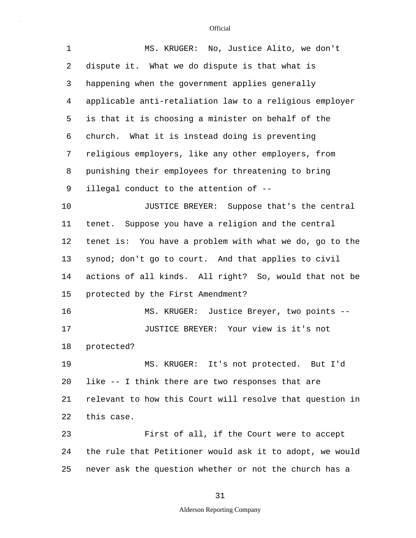| $\mathbf 1$ | MS. KRUGER: No, Justice Alito, we don't                  |
|-------------|----------------------------------------------------------|
| 2           | dispute it. What we do dispute is that what is           |
| 3           | happening when the government applies generally          |
| 4           | applicable anti-retaliation law to a religious employer  |
| 5           | is that it is choosing a minister on behalf of the       |
| 6           | What it is instead doing is preventing<br>church.        |
| 7           | religious employers, like any other employers, from      |
| 8           | punishing their employees for threatening to bring       |
| 9           | illegal conduct to the attention of --                   |
| 10          | JUSTICE BREYER: Suppose that's the central               |
| 11          | tenet. Suppose you have a religion and the central       |
| 12          | tenet is: You have a problem with what we do, go to the  |
| 13          | synod; don't go to court. And that applies to civil      |
| 14          | actions of all kinds. All right? So, would that not be   |
| 15          | protected by the First Amendment?                        |
| 16          | MS. KRUGER: Justice Breyer, two points --                |
| 17          | JUSTICE BREYER: Your view is it's not                    |
| 18          | protected?                                               |
| 19          | MS. KRUGER: It's not protected. But I'd                  |
| 20          | like -- I think there are two responses that are         |
| 21          | relevant to how this Court will resolve that question in |
| 22          | this case.                                               |
| 23          | First of all, if the Court were to accept                |
| 24          | the rule that Petitioner would ask it to adopt, we would |
| 25          | never ask the question whether or not the church has a   |

# 31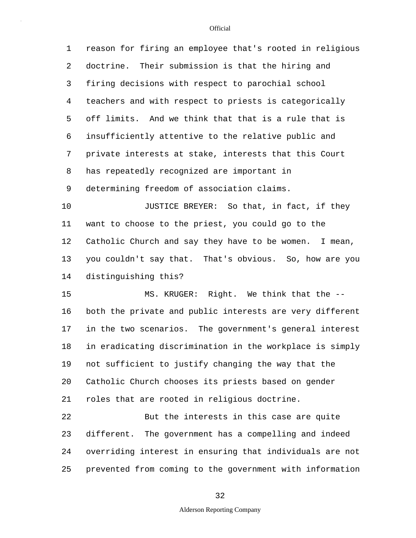5 10 15 20 1 reason for firing an employee that's rooted in religious 2 doctrine. Their submission is that the hiring and 3 firing decisions with respect to parochial school 4 teachers and with respect to priests is categorically off limits. And we think that that is a rule that is 6 insufficiently attentive to the relative public and 7 private interests at stake, interests that this Court 8 has repeatedly recognized are important in 9 determining freedom of association claims. JUSTICE BREYER: So that, in fact, if they 11 want to choose to the priest, you could go to the 12 Catholic Church and say they have to be women. I mean, 13 you couldn't say that. That's obvious. So, how are you 14 distinguishing this? MS. KRUGER: Right. We think that the -- 16 both the private and public interests are very different 17 in the two scenarios. The government's general interest 18 in eradicating discrimination in the workplace is simply 19 not sufficient to justify changing the way that the Catholic Church chooses its priests based on gender 21 roles that are rooted in religious doctrine. 22 But the interests in this case are quite 23 different. The government has a compelling and indeed 24 overriding interest in ensuring that individuals are not

25 prevented from coming to the government with information

## 32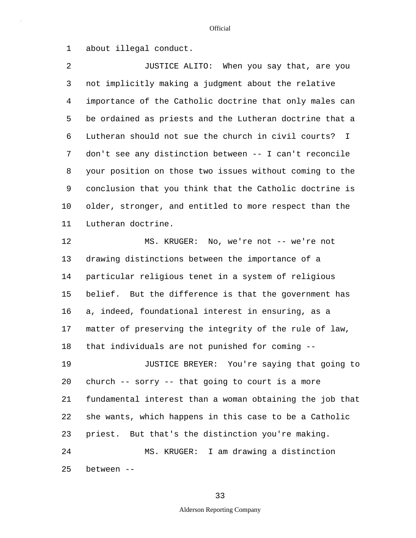1 about illegal conduct.

5 10 2 JUSTICE ALITO: When you say that, are you 3 not implicitly making a judgment about the relative 4 importance of the Catholic doctrine that only males can be ordained as priests and the Lutheran doctrine that a 6 Lutheran should not sue the church in civil courts? I 7 don't see any distinction between -- I can't reconcile 8 your position on those two issues without coming to the 9 conclusion that you think that the Catholic doctrine is older, stronger, and entitled to more respect than the 11 Lutheran doctrine.

15 20 25 12 MS. KRUGER: No, we're not -- we're not 13 drawing distinctions between the importance of a 14 particular religious tenet in a system of religious belief. But the difference is that the government has 16 a, indeed, foundational interest in ensuring, as a 17 matter of preserving the integrity of the rule of law, 18 that individuals are not punished for coming -- 19 JUSTICE BREYER: You're saying that going to church -- sorry -- that going to court is a more 21 fundamental interest than a woman obtaining the job that 22 she wants, which happens in this case to be a Catholic 23 priest. But that's the distinction you're making. 24 MS. KRUGER: I am drawing a distinction between --

33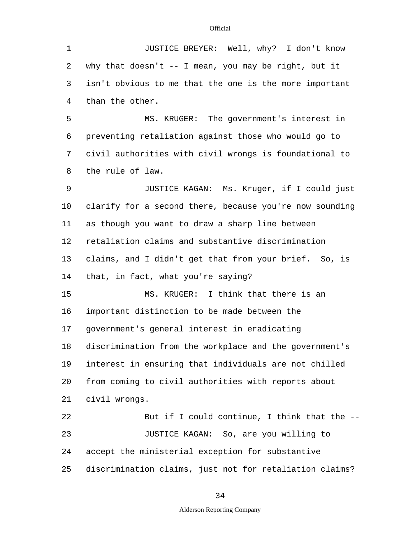5 10 15 20 25 1 JUSTICE BREYER: Well, why? I don't know 2 why that doesn't -- I mean, you may be right, but it 3 isn't obvious to me that the one is the more important 4 than the other. MS. KRUGER: The government's interest in 6 preventing retaliation against those who would go to 7 civil authorities with civil wrongs is foundational to 8 the rule of law. 9 JUSTICE KAGAN: Ms. Kruger, if I could just clarify for a second there, because you're now sounding 11 as though you want to draw a sharp line between 12 retaliation claims and substantive discrimination 13 claims, and I didn't get that from your brief. So, is 14 that, in fact, what you're saying? MS. KRUGER: I think that there is an 16 important distinction to be made between the 17 government's general interest in eradicating 18 discrimination from the workplace and the government's 19 interest in ensuring that individuals are not chilled from coming to civil authorities with reports about 21 civil wrongs. 22 But if I could continue, I think that the -- 23 JUSTICE KAGAN: So, are you willing to 24 accept the ministerial exception for substantive discrimination claims, just not for retaliation claims?

### 34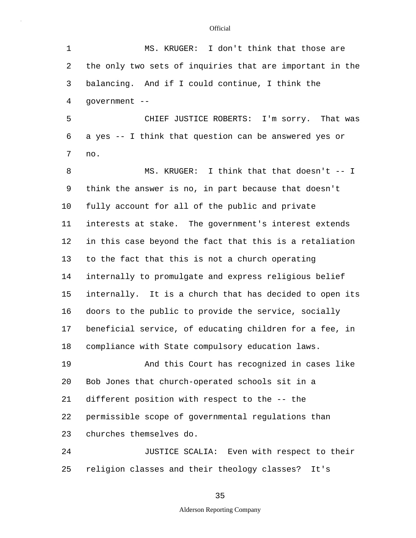| $\mathbf{1}$ | MS. KRUGER: I don't think that those are                 |
|--------------|----------------------------------------------------------|
| 2            | the only two sets of inquiries that are important in the |
| 3            | balancing. And if I could continue, I think the          |
| 4            | government --                                            |
| 5            | CHIEF JUSTICE ROBERTS: I'm sorry. That was               |
| 6            | a yes -- I think that question can be answered yes or    |
| 7            | no.                                                      |
| 8            | MS. KRUGER: I think that that doesn't -- I               |
| 9            | think the answer is no, in part because that doesn't     |
| 10           | fully account for all of the public and private          |
| 11           | interests at stake. The government's interest extends    |
| 12           | in this case beyond the fact that this is a retaliation  |
| 13           | to the fact that this is not a church operating          |
| 14           | internally to promulgate and express religious belief    |
| 15           | internally. It is a church that has decided to open its  |
| 16           | doors to the public to provide the service, socially     |
| 17           | beneficial service, of educating children for a fee, in  |
| 18           | compliance with State compulsory education laws.         |
| 19           | And this Court has recognized in cases like              |
| 20           | Bob Jones that church-operated schools sit in a          |
| 21           | different position with respect to the -- the            |
| 22           | permissible scope of governmental regulations than       |
| 23           | churches themselves do.                                  |
| 24           | JUSTICE SCALIA: Even with respect to their               |
| 25           | religion classes and their theology classes?<br>It's     |

35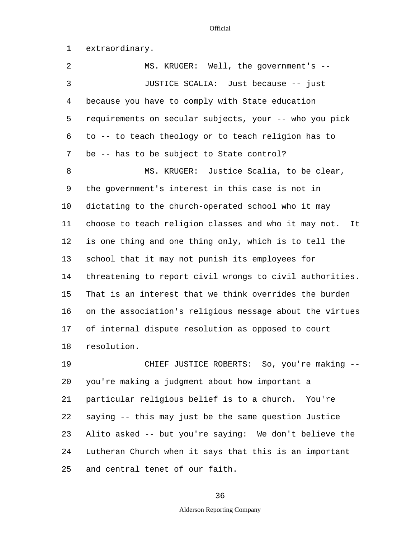1 extraordinary.

5 10 15 20 2 MS. KRUGER: Well, the government's -- 3 JUSTICE SCALIA: Just because -- just 4 because you have to comply with State education requirements on secular subjects, your -- who you pick 6 to -- to teach theology or to teach religion has to 7 be -- has to be subject to State control? 8 MS. KRUGER: Justice Scalia, to be clear, 9 the government's interest in this case is not in dictating to the church-operated school who it may 11 choose to teach religion classes and who it may not. It 12 is one thing and one thing only, which is to tell the 13 school that it may not punish its employees for 14 threatening to report civil wrongs to civil authorities. That is an interest that we think overrides the burden 16 on the association's religious message about the virtues 17 of internal dispute resolution as opposed to court 18 resolution. 19 CHIEF JUSTICE ROBERTS: So, you're making - you're making a judgment about how important a

25 21 particular religious belief is to a church. You're 22 saying -- this may just be the same question Justice 23 Alito asked -- but you're saying: We don't believe the 24 Lutheran Church when it says that this is an important and central tenet of our faith.

### 36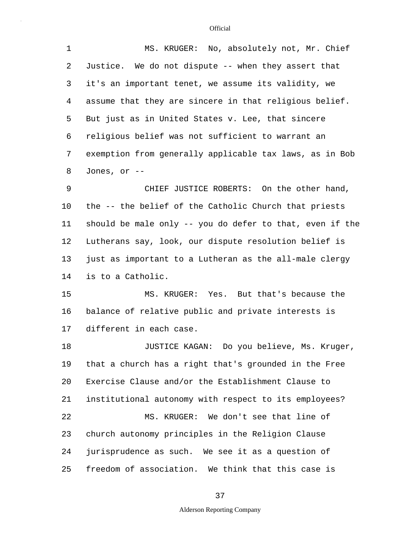| MS. KRUGER: No, absolutely not, Mr. Chief                |  |  |  |  |  |  |
|----------------------------------------------------------|--|--|--|--|--|--|
| Justice. We do not dispute -- when they assert that      |  |  |  |  |  |  |
| it's an important tenet, we assume its validity, we      |  |  |  |  |  |  |
| assume that they are sincere in that religious belief.   |  |  |  |  |  |  |
| But just as in United States v. Lee, that sincere        |  |  |  |  |  |  |
| religious belief was not sufficient to warrant an        |  |  |  |  |  |  |
| exemption from generally applicable tax laws, as in Bob  |  |  |  |  |  |  |
| Jones, or --                                             |  |  |  |  |  |  |
| CHIEF JUSTICE ROBERTS: On the other hand,                |  |  |  |  |  |  |
| the -- the belief of the Catholic Church that priests    |  |  |  |  |  |  |
| should be male only -- you do defer to that, even if the |  |  |  |  |  |  |
| Lutherans say, look, our dispute resolution belief is    |  |  |  |  |  |  |
| just as important to a Lutheran as the all-male clergy   |  |  |  |  |  |  |
| is to a Catholic.                                        |  |  |  |  |  |  |
| MS. KRUGER: Yes. But that's because the                  |  |  |  |  |  |  |
| balance of relative public and private interests is      |  |  |  |  |  |  |
| different in each case.                                  |  |  |  |  |  |  |
| JUSTICE KAGAN: Do you believe, Ms. Kruger,               |  |  |  |  |  |  |
| that a church has a right that's grounded in the Free    |  |  |  |  |  |  |
| Exercise Clause and/or the Establishment Clause to       |  |  |  |  |  |  |
| institutional autonomy with respect to its employees?    |  |  |  |  |  |  |
| MS. KRUGER: We don't see that line of                    |  |  |  |  |  |  |
| church autonomy principles in the Religion Clause        |  |  |  |  |  |  |
| jurisprudence as such. We see it as a question of        |  |  |  |  |  |  |
| freedom of association. We think that this case is       |  |  |  |  |  |  |
|                                                          |  |  |  |  |  |  |

37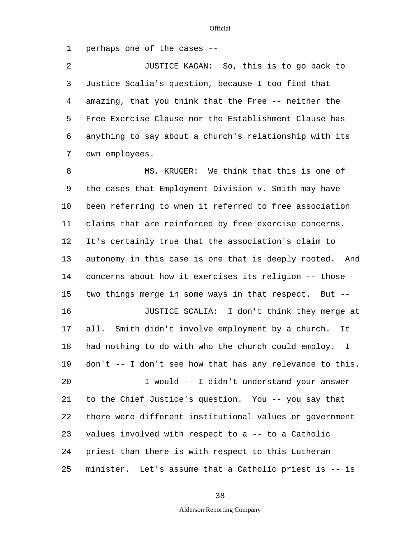1 perhaps one of the cases --

5 2 JUSTICE KAGAN: So, this is to go back to 3 Justice Scalia's question, because I too find that 4 amazing, that you think that the Free -- neither the Free Exercise Clause nor the Establishment Clause has 6 anything to say about a church's relationship with its 7 own employees.

10 15 20 25 8 MS. KRUGER: We think that this is one of 9 the cases that Employment Division v. Smith may have been referring to when it referred to free association 11 claims that are reinforced by free exercise concerns. 12 It's certainly true that the association's claim to 13 autonomy in this case is one that is deeply rooted. And 14 concerns about how it exercises its religion -- those two things merge in some ways in that respect. But -- 16 JUSTICE SCALIA: I don't think they merge at 17 all. Smith didn't involve employment by a church. It 18 had nothing to do with who the church could employ. I 19 don't -- I don't see how that has any relevance to this. I would -- I didn't understand your answer 21 to the Chief Justice's question. You -- you say that 22 there were different institutional values or government 23 values involved with respect to a -- to a Catholic 24 priest than there is with respect to this Lutheran minister. Let's assume that a Catholic priest is -- is

38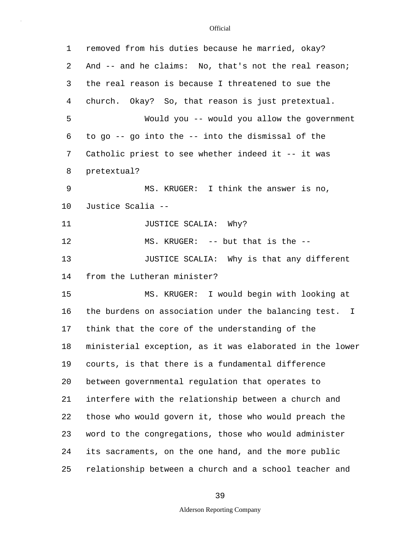| 1  | removed from his duties because he married, okay?        |  |  |  |  |  |
|----|----------------------------------------------------------|--|--|--|--|--|
| 2  | And -- and he claims: No, that's not the real reason;    |  |  |  |  |  |
| 3  | the real reason is because I threatened to sue the       |  |  |  |  |  |
| 4  | church. Okay? So, that reason is just pretextual.        |  |  |  |  |  |
| 5  | Would you -- would you allow the government              |  |  |  |  |  |
| 6  | to go $-$ - go into the $-$ - into the dismissal of the  |  |  |  |  |  |
| 7  | Catholic priest to see whether indeed it -- it was       |  |  |  |  |  |
| 8  | pretextual?                                              |  |  |  |  |  |
| 9  | MS. KRUGER: I think the answer is no,                    |  |  |  |  |  |
| 10 | Justice Scalia --                                        |  |  |  |  |  |
| 11 | JUSTICE SCALIA: Why?                                     |  |  |  |  |  |
| 12 | MS. KRUGER: -- but that is the --                        |  |  |  |  |  |
| 13 | JUSTICE SCALIA: Why is that any different                |  |  |  |  |  |
| 14 | from the Lutheran minister?                              |  |  |  |  |  |
| 15 | MS. KRUGER: I would begin with looking at                |  |  |  |  |  |
| 16 | the burdens on association under the balancing test. I   |  |  |  |  |  |
| 17 | think that the core of the understanding of the          |  |  |  |  |  |
| 18 | ministerial exception, as it was elaborated in the lower |  |  |  |  |  |
| 19 | courts, is that there is a fundamental difference        |  |  |  |  |  |
| 20 | between governmental regulation that operates to         |  |  |  |  |  |
| 21 | interfere with the relationship between a church and     |  |  |  |  |  |
| 22 | those who would govern it, those who would preach the    |  |  |  |  |  |
| 23 | word to the congregations, those who would administer    |  |  |  |  |  |
| 24 | its sacraments, on the one hand, and the more public     |  |  |  |  |  |
| 25 | relationship between a church and a school teacher and   |  |  |  |  |  |

# 39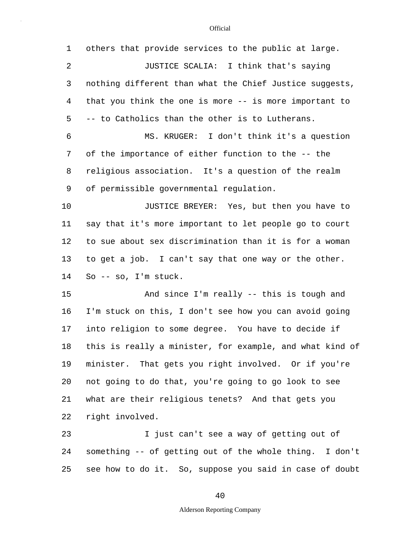| $\mathbf 1$ | others that provide services to the public at large.     |
|-------------|----------------------------------------------------------|
| 2           | JUSTICE SCALIA: I think that's saying                    |
| 3           | nothing different than what the Chief Justice suggests,  |
| 4           | that you think the one is more -- is more important to   |
| 5           | -- to Catholics than the other is to Lutherans.          |
| 6           | MS. KRUGER: I don't think it's a question                |
| 7           | of the importance of either function to the -- the       |
| 8           | religious association. It's a question of the realm      |
| 9           | of permissible governmental regulation.                  |
| 10          | JUSTICE BREYER: Yes, but then you have to                |
| 11          | say that it's more important to let people go to court   |
| 12          | to sue about sex discrimination than it is for a woman   |
| 13          | to get a job. I can't say that one way or the other.     |
| 14          | So -- so, I'm stuck.                                     |
| 15          | And since I'm really -- this is tough and                |
| 16          | I'm stuck on this, I don't see how you can avoid going   |
| 17          | into religion to some degree. You have to decide if      |
| 18          | this is really a minister, for example, and what kind of |
| 19          | minister. That gets you right involved. Or if you're     |
| 20          | not going to do that, you're going to go look to see     |
| 21          | what are their religious tenets? And that gets you       |
| 22          | right involved.                                          |
| 23          | I just can't see a way of getting out of                 |
| 24          | something -- of getting out of the whole thing. I don't  |

25 see how to do it. So, suppose you said in case of doubt

40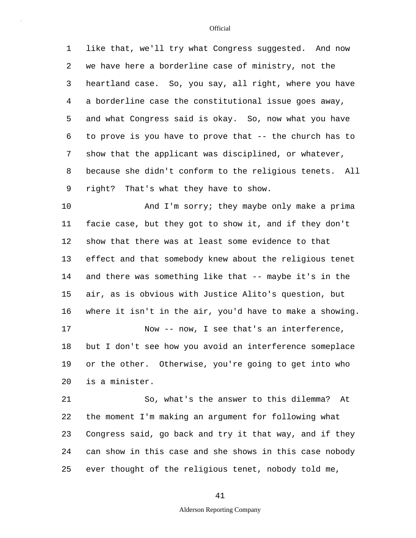1 like that, we'll try what Congress suggested. And now 2 we have here a borderline case of ministry, not the

5 3 heartland case. So, you say, all right, where you have 4 a borderline case the constitutional issue goes away, and what Congress said is okay. So, now what you have 6 to prove is you have to prove that -- the church has to 7 show that the applicant was disciplined, or whatever, 8 because she didn't conform to the religious tenets. All 9 right? That's what they have to show.

10 15 20 And I'm sorry; they maybe only make a prima 11 facie case, but they got to show it, and if they don't 12 show that there was at least some evidence to that 13 effect and that somebody knew about the religious tenet 14 and there was something like that -- maybe it's in the air, as is obvious with Justice Alito's question, but 16 where it isn't in the air, you'd have to make a showing. 17 Now -- now, I see that's an interference, 18 but I don't see how you avoid an interference someplace 19 or the other. Otherwise, you're going to get into who is a minister.

25 21 So, what's the answer to this dilemma? At 22 the moment I'm making an argument for following what 23 Congress said, go back and try it that way, and if they 24 can show in this case and she shows in this case nobody ever thought of the religious tenet, nobody told me,

### 41

### Alderson Reporting Company

**Official**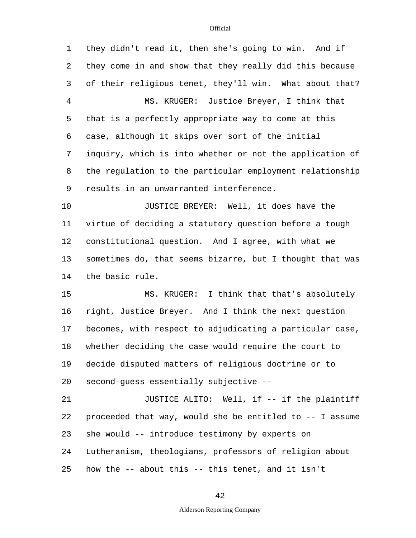5 10 15 20 25 1 they didn't read it, then she's going to win. And if 2 they come in and show that they really did this because 3 of their religious tenet, they'll win. What about that? 4 MS. KRUGER: Justice Breyer, I think that that is a perfectly appropriate way to come at this 6 case, although it skips over sort of the initial 7 inquiry, which is into whether or not the application of 8 the regulation to the particular employment relationship 9 results in an unwarranted interference. JUSTICE BREYER: Well, it does have the 11 virtue of deciding a statutory question before a tough 12 constitutional question. And I agree, with what we 13 sometimes do, that seems bizarre, but I thought that was 14 the basic rule. MS. KRUGER: I think that that's absolutely 16 right, Justice Breyer. And I think the next question 17 becomes, with respect to adjudicating a particular case, 18 whether deciding the case would require the court to 19 decide disputed matters of religious doctrine or to second-guess essentially subjective -- 21 JUSTICE ALITO: Well, if -- if the plaintiff 22 proceeded that way, would she be entitled to -- I assume 23 she would -- introduce testimony by experts on 24 Lutheranism, theologians, professors of religion about how the -- about this -- this tenet, and it isn't

42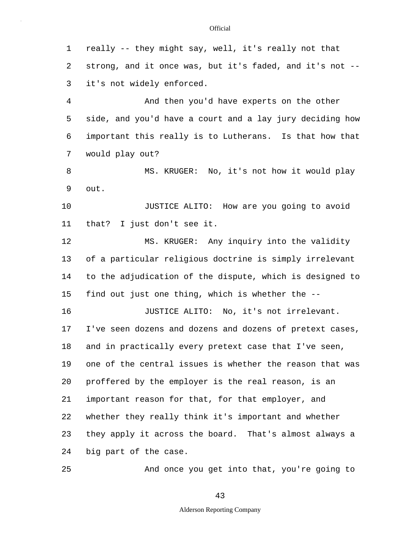5 10 15 20 25 1 really -- they might say, well, it's really not that 2 strong, and it once was, but it's faded, and it's not -- 3 it's not widely enforced. 4 And then you'd have experts on the other side, and you'd have a court and a lay jury deciding how 6 important this really is to Lutherans. Is that how that 7 would play out? 8 MS. KRUGER: No, it's not how it would play 9 out. JUSTICE ALITO: How are you going to avoid 11 that? I just don't see it. 12 MS. KRUGER: Any inquiry into the validity 13 of a particular religious doctrine is simply irrelevant 14 to the adjudication of the dispute, which is designed to find out just one thing, which is whether the -- 16 JUSTICE ALITO: No, it's not irrelevant. 17 I've seen dozens and dozens and dozens of pretext cases, 18 and in practically every pretext case that I've seen, 19 one of the central issues is whether the reason that was proffered by the employer is the real reason, is an 21 important reason for that, for that employer, and 22 whether they really think it's important and whether 23 they apply it across the board. That's almost always a 24 big part of the case. And once you get into that, you're going to

43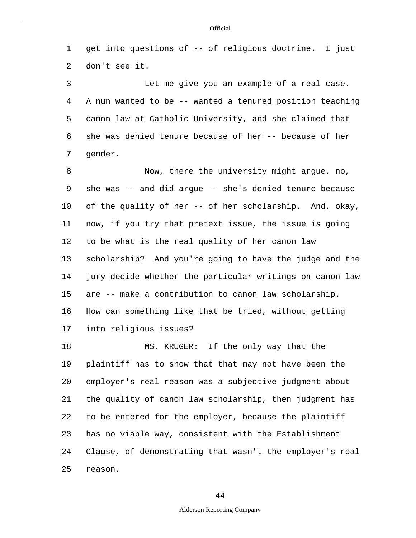1 get into questions of -- of religious doctrine. I just 2 don't see it.

5 3 Let me give you an example of a real case. 4 A nun wanted to be -- wanted a tenured position teaching canon law at Catholic University, and she claimed that 6 she was denied tenure because of her -- because of her 7 gender.

10 15 8 Now, there the university might argue, no, 9 she was -- and did argue -- she's denied tenure because of the quality of her -- of her scholarship. And, okay, 11 now, if you try that pretext issue, the issue is going 12 to be what is the real quality of her canon law 13 scholarship? And you're going to have the judge and the 14 jury decide whether the particular writings on canon law are -- make a contribution to canon law scholarship. 16 How can something like that be tried, without getting 17 into religious issues?

20 25 18 MS. KRUGER: If the only way that the 19 plaintiff has to show that that may not have been the employer's real reason was a subjective judgment about 21 the quality of canon law scholarship, then judgment has 22 to be entered for the employer, because the plaintiff 23 has no viable way, consistent with the Establishment 24 Clause, of demonstrating that wasn't the employer's real reason.

44

### Alderson Reporting Company

#### **Official**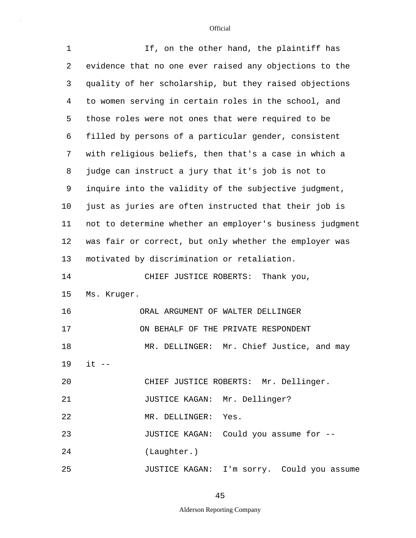| $\mathbf 1$    | If, on the other hand, the plaintiff has                 |  |  |  |  |  |  |
|----------------|----------------------------------------------------------|--|--|--|--|--|--|
| 2              | evidence that no one ever raised any objections to the   |  |  |  |  |  |  |
| 3              | quality of her scholarship, but they raised objections   |  |  |  |  |  |  |
| $\overline{4}$ | to women serving in certain roles in the school, and     |  |  |  |  |  |  |
| 5              | those roles were not ones that were required to be       |  |  |  |  |  |  |
| 6              | filled by persons of a particular gender, consistent     |  |  |  |  |  |  |
| 7              | with religious beliefs, then that's a case in which a    |  |  |  |  |  |  |
| 8              | judge can instruct a jury that it's job is not to        |  |  |  |  |  |  |
| 9              | inquire into the validity of the subjective judgment,    |  |  |  |  |  |  |
| $10 \,$        | just as juries are often instructed that their job is    |  |  |  |  |  |  |
| 11             | not to determine whether an employer's business judgment |  |  |  |  |  |  |
| 12             | was fair or correct, but only whether the employer was   |  |  |  |  |  |  |
| 13             | motivated by discrimination or retaliation.              |  |  |  |  |  |  |
| 14             | CHIEF JUSTICE ROBERTS:<br>Thank you,                     |  |  |  |  |  |  |
| 15             | Ms. Kruger.                                              |  |  |  |  |  |  |
| 16             | ORAL ARGUMENT OF WALTER DELLINGER                        |  |  |  |  |  |  |
| 17             | ON BEHALF OF THE PRIVATE RESPONDENT                      |  |  |  |  |  |  |
| 18             | MR. DELLINGER: Mr. Chief Justice, and may                |  |  |  |  |  |  |
| 19             | $it$ $-$                                                 |  |  |  |  |  |  |
| 20             | CHIEF JUSTICE ROBERTS: Mr. Dellinger.                    |  |  |  |  |  |  |
| 21             | JUSTICE KAGAN: Mr. Dellinger?                            |  |  |  |  |  |  |
| 22             | MR. DELLINGER: Yes.                                      |  |  |  |  |  |  |
| 23             | JUSTICE KAGAN: Could you assume for --                   |  |  |  |  |  |  |
| 24             | (Laughter.)                                              |  |  |  |  |  |  |
| 25             | JUSTICE KAGAN: I'm sorry. Could you assume               |  |  |  |  |  |  |

45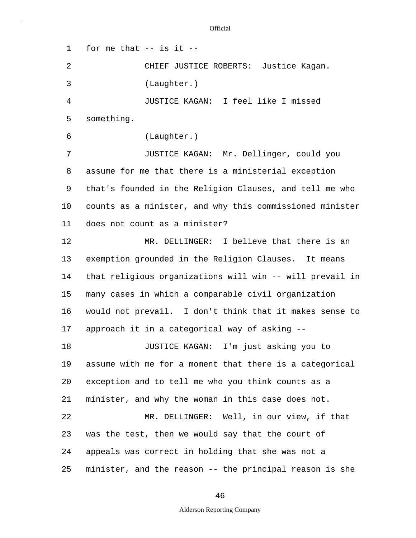5 10 15 20 25 1 for me that -- is it -- 2 CHIEF JUSTICE ROBERTS: Justice Kagan. 3 (Laughter.) 4 JUSTICE KAGAN: I feel like I missed something. 6 (Laughter.) 7 JUSTICE KAGAN: Mr. Dellinger, could you 8 assume for me that there is a ministerial exception 9 that's founded in the Religion Clauses, and tell me who counts as a minister, and why this commissioned minister 11 does not count as a minister? 12 MR. DELLINGER: I believe that there is an 13 exemption grounded in the Religion Clauses. It means 14 that religious organizations will win -- will prevail in many cases in which a comparable civil organization 16 would not prevail. I don't think that it makes sense to 17 approach it in a categorical way of asking -- 18 JUSTICE KAGAN: I'm just asking you to 19 assume with me for a moment that there is a categorical exception and to tell me who you think counts as a 21 minister, and why the woman in this case does not. 22 MR. DELLINGER: Well, in our view, if that 23 was the test, then we would say that the court of 24 appeals was correct in holding that she was not a minister, and the reason -- the principal reason is she

46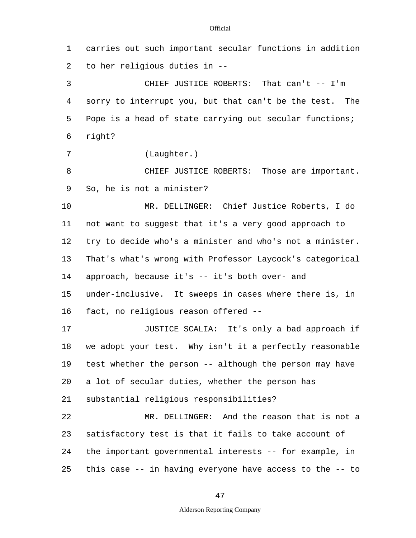1 carries out such important secular functions in addition 2 to her religious duties in --

5 3 CHIEF JUSTICE ROBERTS: That can't -- I'm 4 sorry to interrupt you, but that can't be the test. The Pope is a head of state carrying out secular functions; 6 right?

7 (Laughter.)

8 CHIEF JUSTICE ROBERTS: Those are important. 9 So, he is not a minister?

10 15 MR. DELLINGER: Chief Justice Roberts, I do 11 not want to suggest that it's a very good approach to 12 try to decide who's a minister and who's not a minister. 13 That's what's wrong with Professor Laycock's categorical 14 approach, because it's -- it's both over- and under-inclusive. It sweeps in cases where there is, in 16 fact, no religious reason offered --

20 17 JUSTICE SCALIA: It's only a bad approach if 18 we adopt your test. Why isn't it a perfectly reasonable 19 test whether the person -- although the person may have a lot of secular duties, whether the person has 21 substantial religious responsibilities? 22 MR. DELLINGER: And the reason that is not a 23 satisfactory test is that it fails to take account of

25 24 the important governmental interests -- for example, in this case -- in having everyone have access to the -- to

47

## Alderson Reporting Company

**Official**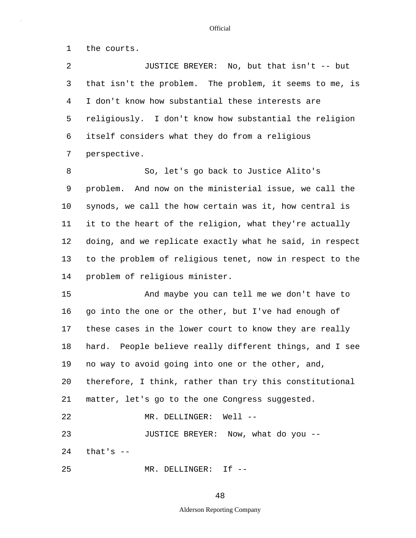1 the courts.

5 10 15 20 25 2 JUSTICE BREYER: No, but that isn't -- but 3 that isn't the problem. The problem, it seems to me, is 4 I don't know how substantial these interests are religiously. I don't know how substantial the religion 6 itself considers what they do from a religious 7 perspective. 8 So, let's go back to Justice Alito's 9 problem. And now on the ministerial issue, we call the synods, we call the how certain was it, how central is 11 it to the heart of the religion, what they're actually 12 doing, and we replicate exactly what he said, in respect 13 to the problem of religious tenet, now in respect to the 14 problem of religious minister. And maybe you can tell me we don't have to 16 go into the one or the other, but I've had enough of 17 these cases in the lower court to know they are really 18 hard. People believe really different things, and I see 19 no way to avoid going into one or the other, and, therefore, I think, rather than try this constitutional 21 matter, let's go to the one Congress suggested. 22 MR. DELLINGER: Well -- 23 JUSTICE BREYER: Now, what do you --  $24$  that's  $-$ MR. DELLINGER: If --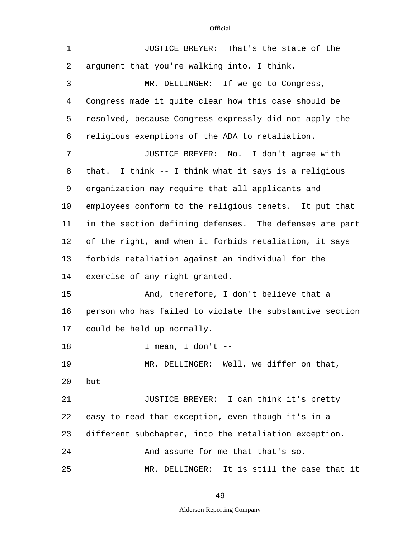| $\mathbf 1$ | JUSTICE BREYER: That's the state of the                  |  |  |  |  |  |
|-------------|----------------------------------------------------------|--|--|--|--|--|
| 2           | argument that you're walking into, I think.              |  |  |  |  |  |
| 3           | MR. DELLINGER: If we go to Congress,                     |  |  |  |  |  |
| 4           | Congress made it quite clear how this case should be     |  |  |  |  |  |
| 5           | resolved, because Congress expressly did not apply the   |  |  |  |  |  |
| 6           | religious exemptions of the ADA to retaliation.          |  |  |  |  |  |
| 7           | JUSTICE BREYER: No. I don't agree with                   |  |  |  |  |  |
| 8           | that. I think -- I think what it says is a religious     |  |  |  |  |  |
| 9           | organization may require that all applicants and         |  |  |  |  |  |
| $10 \,$     | employees conform to the religious tenets. It put that   |  |  |  |  |  |
| 11          | in the section defining defenses. The defenses are part  |  |  |  |  |  |
| 12          | of the right, and when it forbids retaliation, it says   |  |  |  |  |  |
| 13          | forbids retaliation against an individual for the        |  |  |  |  |  |
| 14          | exercise of any right granted.                           |  |  |  |  |  |
| 15          | And, therefore, I don't believe that a                   |  |  |  |  |  |
| 16          | person who has failed to violate the substantive section |  |  |  |  |  |
| 17          | could be held up normally.                               |  |  |  |  |  |
| 18          | I mean, I don't                                          |  |  |  |  |  |
| 19          | MR. DELLINGER: Well, we differ on that,                  |  |  |  |  |  |
| 20          | $but --$                                                 |  |  |  |  |  |
| 21          | JUSTICE BREYER: I can think it's pretty                  |  |  |  |  |  |
| 22          | easy to read that exception, even though it's in a       |  |  |  |  |  |
| 23          | different subchapter, into the retaliation exception.    |  |  |  |  |  |
| 24          | And assume for me that that's so.                        |  |  |  |  |  |
| 25          | MR. DELLINGER: It is still the case that it              |  |  |  |  |  |

49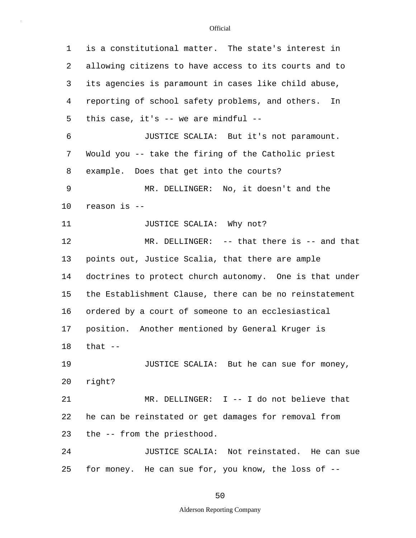| 1  | is a constitutional matter. The state's interest in     |  |  |  |  |  |  |
|----|---------------------------------------------------------|--|--|--|--|--|--|
| 2  | allowing citizens to have access to its courts and to   |  |  |  |  |  |  |
| 3  | its agencies is paramount in cases like child abuse,    |  |  |  |  |  |  |
| 4  | reporting of school safety problems, and others.<br>In  |  |  |  |  |  |  |
| 5  | this case, it's $--$ we are mindful $--$                |  |  |  |  |  |  |
| 6  | JUSTICE SCALIA: But it's not paramount.                 |  |  |  |  |  |  |
| 7  | Would you -- take the firing of the Catholic priest     |  |  |  |  |  |  |
| 8  | example. Does that get into the courts?                 |  |  |  |  |  |  |
| 9  | MR. DELLINGER: No, it doesn't and the                   |  |  |  |  |  |  |
| 10 | reason is --                                            |  |  |  |  |  |  |
| 11 | JUSTICE SCALIA: Why not?                                |  |  |  |  |  |  |
| 12 | MR. DELLINGER: $--$ that there is $--$ and that         |  |  |  |  |  |  |
| 13 | points out, Justice Scalia, that there are ample        |  |  |  |  |  |  |
| 14 | doctrines to protect church autonomy. One is that under |  |  |  |  |  |  |
| 15 | the Establishment Clause, there can be no reinstatement |  |  |  |  |  |  |
| 16 | ordered by a court of someone to an ecclesiastical      |  |  |  |  |  |  |
| 17 | position. Another mentioned by General Kruger is        |  |  |  |  |  |  |
| 18 | that --                                                 |  |  |  |  |  |  |
| 19 | JUSTICE SCALIA: But he can sue for money,               |  |  |  |  |  |  |
| 20 | right?                                                  |  |  |  |  |  |  |
| 21 | MR. DELLINGER: I -- I do not believe that               |  |  |  |  |  |  |
| 22 | he can be reinstated or get damages for removal from    |  |  |  |  |  |  |
| 23 | the -- from the priesthood.                             |  |  |  |  |  |  |
| 24 | JUSTICE SCALIA: Not reinstated. He can sue              |  |  |  |  |  |  |
| 25 | for money. He can sue for, you know, the loss of --     |  |  |  |  |  |  |

50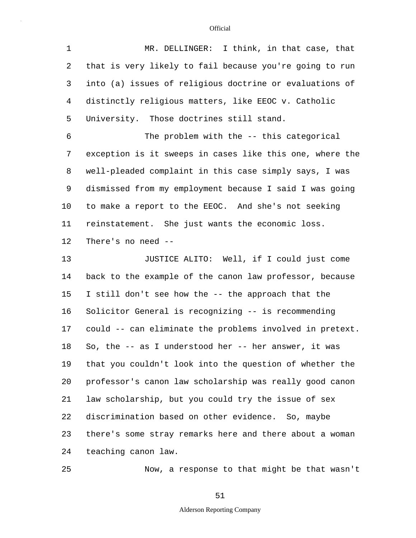| $\mathbf 1$ | MR. DELLINGER: I think, in that case, that               |
|-------------|----------------------------------------------------------|
| 2           | that is very likely to fail because you're going to run  |
| 3           | into (a) issues of religious doctrine or evaluations of  |
| 4           | distinctly religious matters, like EEOC v. Catholic      |
| 5           | University. Those doctrines still stand.                 |
| 6           | The problem with the -- this categorical                 |
| 7           | exception is it sweeps in cases like this one, where the |
| 8           | well-pleaded complaint in this case simply says, I was   |
| 9           | dismissed from my employment because I said I was going  |
| 10          | to make a report to the EEOC. And she's not seeking      |
| 11          | reinstatement. She just wants the economic loss.         |
| 12          | There's no need --                                       |
| 13          | JUSTICE ALITO: Well, if I could just come                |
|             |                                                          |
| 14          | back to the example of the canon law professor, because  |
| 15          | I still don't see how the -- the approach that the       |
| 16          | Solicitor General is recognizing -- is recommending      |
| 17          | could -- can eliminate the problems involved in pretext. |
|             | So, the -- as I understood her -- her answer, it was     |
| 18<br>19    | that you couldn't look into the question of whether the  |
| 20          | professor's canon law scholarship was really good canon  |
| 21          | law scholarship, but you could try the issue of sex      |
| 22          | discrimination based on other evidence. So, maybe        |
| 23          | there's some stray remarks here and there about a woman  |

25

Now, a response to that might be that wasn't

51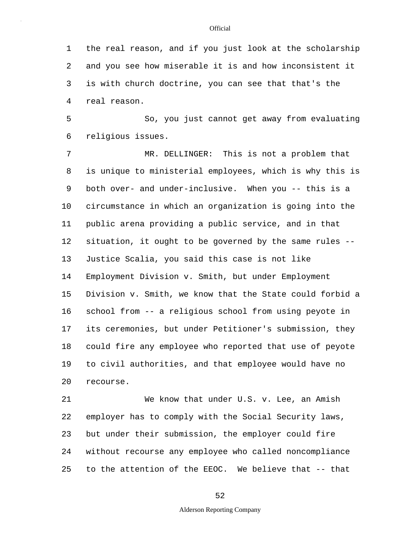5 10 15 1 the real reason, and if you just look at the scholarship 2 and you see how miserable it is and how inconsistent it 3 is with church doctrine, you can see that that's the 4 real reason. So, you just cannot get away from evaluating 6 religious issues. 7 MR. DELLINGER: This is not a problem that 8 is unique to ministerial employees, which is why this is 9 both over- and under-inclusive. When you -- this is a circumstance in which an organization is going into the 11 public arena providing a public service, and in that 12 situation, it ought to be governed by the same rules -- 13 Justice Scalia, you said this case is not like 14 Employment Division v. Smith, but under Employment Division v. Smith, we know that the State could forbid a 16 school from -- a religious school from using peyote in 17 its ceremonies, but under Petitioner's submission, they 18 could fire any employee who reported that use of peyote

20 19 to civil authorities, and that employee would have no recourse.

25 21 We know that under U.S. v. Lee, an Amish 22 employer has to comply with the Social Security laws, 23 but under their submission, the employer could fire 24 without recourse any employee who called noncompliance to the attention of the EEOC. We believe that -- that

52

### Alderson Reporting Company

**Official**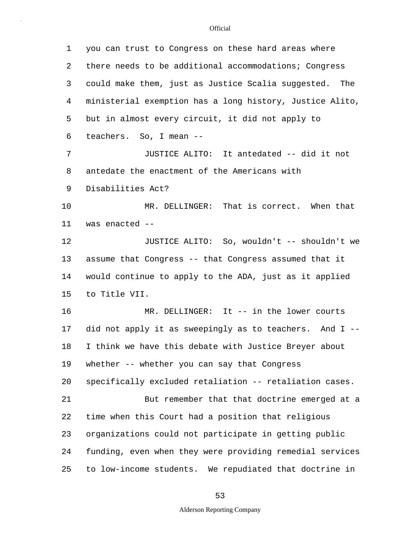| 1  | you can trust to Congress on these hard areas where      |  |  |  |  |  |  |
|----|----------------------------------------------------------|--|--|--|--|--|--|
| 2  | there needs to be additional accommodations; Congress    |  |  |  |  |  |  |
| 3  | could make them, just as Justice Scalia suggested. The   |  |  |  |  |  |  |
| 4  | ministerial exemption has a long history, Justice Alito, |  |  |  |  |  |  |
| 5  | but in almost every circuit, it did not apply to         |  |  |  |  |  |  |
| 6  | teachers. So, I mean --                                  |  |  |  |  |  |  |
| 7  | JUSTICE ALITO: It antedated -- did it not                |  |  |  |  |  |  |
| 8  | antedate the enactment of the Americans with             |  |  |  |  |  |  |
| 9  | Disabilities Act?                                        |  |  |  |  |  |  |
| 10 | MR. DELLINGER: That is correct. When that                |  |  |  |  |  |  |
| 11 | was enacted --                                           |  |  |  |  |  |  |
| 12 | JUSTICE ALITO: So, wouldn't -- shouldn't we              |  |  |  |  |  |  |
| 13 | assume that Congress -- that Congress assumed that it    |  |  |  |  |  |  |
| 14 | would continue to apply to the ADA, just as it applied   |  |  |  |  |  |  |
| 15 | to Title VII.                                            |  |  |  |  |  |  |
| 16 | MR. DELLINGER: It -- in the lower courts                 |  |  |  |  |  |  |
| 17 | did not apply it as sweepingly as to teachers. And I --  |  |  |  |  |  |  |
| 18 | I think we have this debate with Justice Breyer about    |  |  |  |  |  |  |
| 19 | whether -- whether you can say that Congress             |  |  |  |  |  |  |
| 20 | specifically excluded retaliation -- retaliation cases.  |  |  |  |  |  |  |
| 21 | But remember that that doctrine emerged at a             |  |  |  |  |  |  |
| 22 | time when this Court had a position that religious       |  |  |  |  |  |  |
| 23 | organizations could not participate in getting public    |  |  |  |  |  |  |
| 24 | funding, even when they were providing remedial services |  |  |  |  |  |  |
| 25 | to low-income students. We repudiated that doctrine in   |  |  |  |  |  |  |

53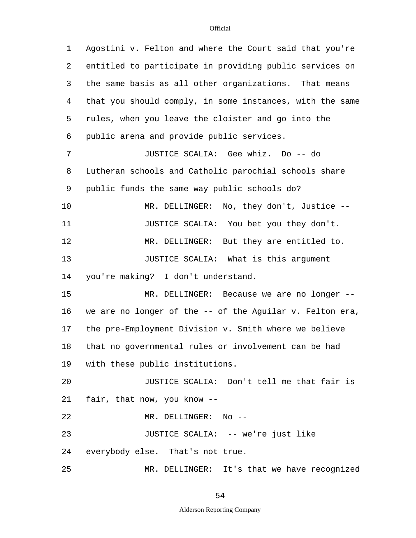5 10 15 20 25 1 Agostini v. Felton and where the Court said that you're 2 entitled to participate in providing public services on 3 the same basis as all other organizations. That means 4 that you should comply, in some instances, with the same rules, when you leave the cloister and go into the 6 public arena and provide public services. 7 JUSTICE SCALIA: Gee whiz. Do -- do 8 Lutheran schools and Catholic parochial schools share 9 public funds the same way public schools do? MR. DELLINGER: No, they don't, Justice --11 JUSTICE SCALIA: You bet you they don't. 12 MR. DELLINGER: But they are entitled to. 13 **JUSTICE SCALIA:** What is this argument 14 you're making? I don't understand. MR. DELLINGER: Because we are no longer -- 16 we are no longer of the -- of the Aguilar v. Felton era, 17 the pre-Employment Division v. Smith where we believe 18 that no governmental rules or involvement can be had 19 with these public institutions. JUSTICE SCALIA: Don't tell me that fair is 21 fair, that now, you know -- 22 MR. DELLINGER: No -- 23 JUSTICE SCALIA: -- we're just like 24 everybody else. That's not true. MR. DELLINGER: It's that we have recognized

### 54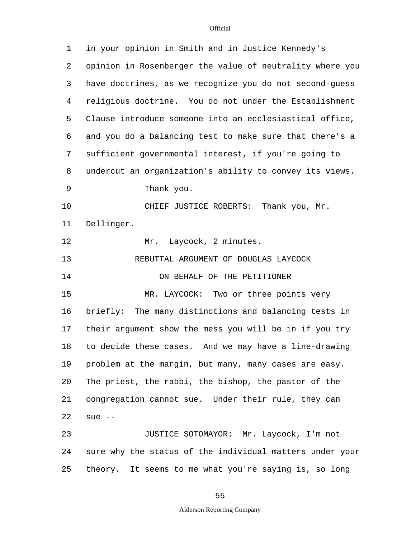| 1  | in your opinion in Smith and in Justice Kennedy's        |  |  |  |  |  |
|----|----------------------------------------------------------|--|--|--|--|--|
| 2  | opinion in Rosenberger the value of neutrality where you |  |  |  |  |  |
| 3  | have doctrines, as we recognize you do not second-guess  |  |  |  |  |  |
| 4  | religious doctrine. You do not under the Establishment   |  |  |  |  |  |
| 5  | Clause introduce someone into an ecclesiastical office,  |  |  |  |  |  |
| 6  | and you do a balancing test to make sure that there's a  |  |  |  |  |  |
| 7  | sufficient governmental interest, if you're going to     |  |  |  |  |  |
| 8  | undercut an organization's ability to convey its views.  |  |  |  |  |  |
| 9  | Thank you.                                               |  |  |  |  |  |
| 10 | CHIEF JUSTICE ROBERTS: Thank you, Mr.                    |  |  |  |  |  |
| 11 | Dellinger.                                               |  |  |  |  |  |
| 12 | Laycock, 2 minutes.<br>Mr.                               |  |  |  |  |  |
| 13 | REBUTTAL ARGUMENT OF DOUGLAS LAYCOCK                     |  |  |  |  |  |
| 14 | ON BEHALF OF THE PETITIONER                              |  |  |  |  |  |
| 15 | MR. LAYCOCK: Two or three points very                    |  |  |  |  |  |
| 16 | briefly: The many distinctions and balancing tests in    |  |  |  |  |  |
| 17 | their argument show the mess you will be in if you try   |  |  |  |  |  |
| 18 | to decide these cases. And we may have a line-drawing    |  |  |  |  |  |
| 19 | problem at the margin, but many, many cases are easy.    |  |  |  |  |  |
| 20 | The priest, the rabbi, the bishop, the pastor of the     |  |  |  |  |  |
| 21 | congregation cannot sue. Under their rule, they can      |  |  |  |  |  |
| 22 | sue $--$                                                 |  |  |  |  |  |
| 23 | JUSTICE SOTOMAYOR: Mr. Laycock, I'm not                  |  |  |  |  |  |
| 24 | sure why the status of the individual matters under your |  |  |  |  |  |
| 25 | theory. It seems to me what you're saying is, so long    |  |  |  |  |  |

55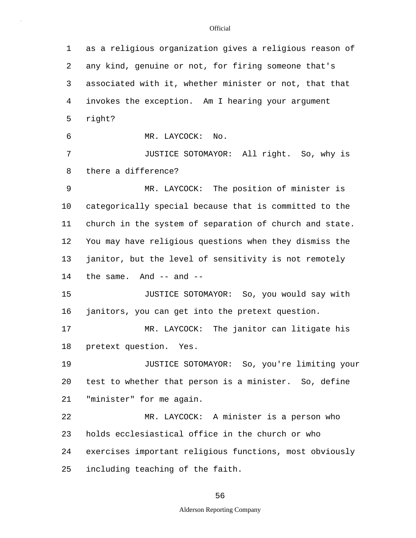5 10 15 20 25 1 as a religious organization gives a religious reason of 2 any kind, genuine or not, for firing someone that's 3 associated with it, whether minister or not, that that 4 invokes the exception. Am I hearing your argument right? 6 MR. LAYCOCK: No. 7 JUSTICE SOTOMAYOR: All right. So, why is 8 there a difference? 9 MR. LAYCOCK: The position of minister is categorically special because that is committed to the 11 church in the system of separation of church and state. 12 You may have religious questions when they dismiss the 13 janitor, but the level of sensitivity is not remotely 14 the same. And -- and -- JUSTICE SOTOMAYOR: So, you would say with 16 janitors, you can get into the pretext question. 17 MR. LAYCOCK: The janitor can litigate his 18 pretext question. Yes. 19 JUSTICE SOTOMAYOR: So, you're limiting your test to whether that person is a minister. So, define 21 "minister" for me again. 22 MR. LAYCOCK: A minister is a person who 23 holds ecclesiastical office in the church or who 24 exercises important religious functions, most obviously including teaching of the faith.

56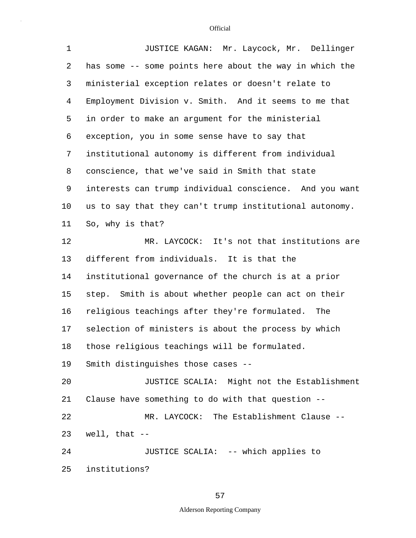| $\mathbf 1$    | JUSTICE KAGAN: Mr. Laycock, Mr. Dellinger               |  |  |  |  |  |  |
|----------------|---------------------------------------------------------|--|--|--|--|--|--|
| 2              | has some -- some points here about the way in which the |  |  |  |  |  |  |
| 3              | ministerial exception relates or doesn't relate to      |  |  |  |  |  |  |
| $\overline{4}$ | Employment Division v. Smith. And it seems to me that   |  |  |  |  |  |  |
| 5              | in order to make an argument for the ministerial        |  |  |  |  |  |  |
| 6              | exception, you in some sense have to say that           |  |  |  |  |  |  |
| 7              | institutional autonomy is different from individual     |  |  |  |  |  |  |
| 8              | conscience, that we've said in Smith that state         |  |  |  |  |  |  |
| 9              | interests can trump individual conscience. And you want |  |  |  |  |  |  |
| 10             | us to say that they can't trump institutional autonomy. |  |  |  |  |  |  |
| 11             | So, why is that?                                        |  |  |  |  |  |  |
| 12             | MR. LAYCOCK: It's not that institutions are             |  |  |  |  |  |  |
| 13             | different from individuals. It is that the              |  |  |  |  |  |  |
| 14             | institutional governance of the church is at a prior    |  |  |  |  |  |  |
| 15             | step. Smith is about whether people can act on their    |  |  |  |  |  |  |
| 16             | religious teachings after they're formulated.<br>The    |  |  |  |  |  |  |
| 17             | selection of ministers is about the process by which    |  |  |  |  |  |  |
| 18             | those religious teachings will be formulated.           |  |  |  |  |  |  |
| 19             | Smith distinguishes those cases --                      |  |  |  |  |  |  |
| 20             | JUSTICE SCALIA: Might not the Establishment             |  |  |  |  |  |  |
| 21             | Clause have something to do with that question --       |  |  |  |  |  |  |
| 22             | MR. LAYCOCK: The Establishment Clause --                |  |  |  |  |  |  |
| 23             | well, that $--$                                         |  |  |  |  |  |  |
| 24             | JUSTICE SCALIA: -- which applies to                     |  |  |  |  |  |  |
| 25             | institutions?                                           |  |  |  |  |  |  |

57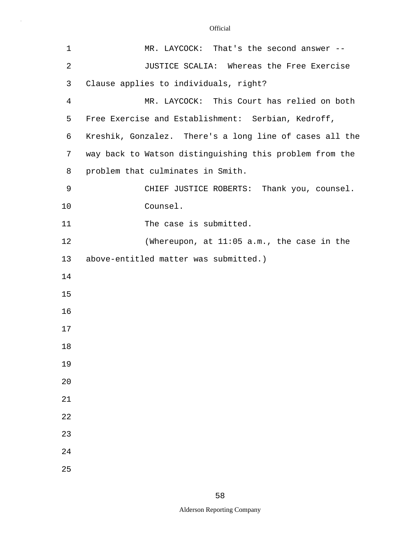| $\mathbf 1$ | MR. LAYCOCK: That's the second answer --                |  |  |  |  |  |
|-------------|---------------------------------------------------------|--|--|--|--|--|
| 2           | JUSTICE SCALIA: Whereas the Free Exercise               |  |  |  |  |  |
| 3           | Clause applies to individuals, right?                   |  |  |  |  |  |
| 4           | MR. LAYCOCK: This Court has relied on both              |  |  |  |  |  |
| 5           | Free Exercise and Establishment: Serbian, Kedroff,      |  |  |  |  |  |
| 6           | Kreshik, Gonzalez. There's a long line of cases all the |  |  |  |  |  |
| 7           | way back to Watson distinguishing this problem from the |  |  |  |  |  |
| 8           | problem that culminates in Smith.                       |  |  |  |  |  |
| 9           | CHIEF JUSTICE ROBERTS: Thank you, counsel.              |  |  |  |  |  |
| 10          | Counsel.                                                |  |  |  |  |  |
| 11          | The case is submitted.                                  |  |  |  |  |  |
| 12          | (Whereupon, at $11:05$ a.m., the case in the            |  |  |  |  |  |
| 13          | above-entitled matter was submitted.)                   |  |  |  |  |  |
| 14          |                                                         |  |  |  |  |  |
| 15          |                                                         |  |  |  |  |  |
| 16          |                                                         |  |  |  |  |  |
| 17          |                                                         |  |  |  |  |  |
| $18\,$      |                                                         |  |  |  |  |  |
| 19          |                                                         |  |  |  |  |  |
| 20          |                                                         |  |  |  |  |  |
| 21          |                                                         |  |  |  |  |  |
| 22          |                                                         |  |  |  |  |  |
| 23          |                                                         |  |  |  |  |  |
| 24          |                                                         |  |  |  |  |  |
| 25          |                                                         |  |  |  |  |  |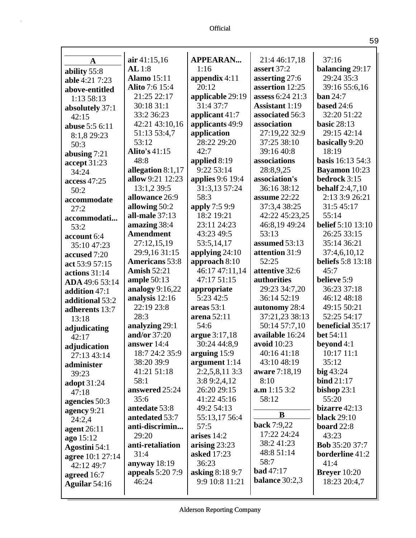| $\mathbf{A}$          | air 41:15,16          | <b>APPEARAN</b>         | 21:4 46:17,18         | 37:16                    |
|-----------------------|-----------------------|-------------------------|-----------------------|--------------------------|
| ability 55:8          | AL1:8                 | 1:16                    | assert 37:2           | balancing 29:17          |
| able 4:21 7:23        | <b>Alamo</b> 15:11    | appendix $4:11$         | asserting 27:6        | 29:24 35:3               |
| above-entitled        | Alito 7:6 15:4        | 20:12                   | assertion 12:25       | 39:16 55:6,16            |
| 1:13 58:13            | 21:25 22:17           | applicable 29:19        | assess 6:24 21:3      | ban 24:7                 |
| absolutely 37:1       | 30:18 31:1            | 31:4 37:7               | <b>Assistant 1:19</b> | based 24:6               |
| 42:15                 | 33:2 36:23            | applicant 41:7          | associated 56:3       | 32:20 51:22              |
| <b>abuse</b> 5:5 6:11 | 42:21 43:10,16        | applicants 49:9         | association           | <b>basic 28:13</b>       |
| 8:1,8 29:23           | 51:13 53:4,7          | application             | 27:19,22 32:9         | 29:15 42:14              |
| 50:3                  | 53:12                 | 28:22 29:20             | 37:25 38:10           | basically 9:20           |
| abusing $7:21$        | Alito's 41:15         | 42:7                    | 39:16 40:8            | 18:19                    |
| accept 31:23          | 48:8                  | applied 8:19            | associations          | <b>basis</b> 16:13 54:3  |
| 34:24                 | allegation 8:1,17     | 9:22 53:14              | 28:8,9,25             | <b>Bayamon</b> 10:23     |
| access 47:25          | allow 9:21 12:23      | <b>applies</b> 9:6 19:4 | association's         | bedrock 3:15             |
| 50:2                  | 13:1,2 39:5           | 31:3,13 57:24           | 36:16 38:12           | <b>behalf</b> 2:4,7,10   |
| accommodate           | allowance 26:9        | 58:3                    | assume 22:22          | 2:13 3:9 26:21           |
| 27:2                  | allowing 50:2         | apply 7:5 9:9           | 37:3,4 38:25          | 31:5 45:17               |
| accommodati           | all-male $37:13$      | 18:2 19:21              | 42:22 45:23,25        | 55:14                    |
| 53:2                  | amazing 38:4          | 23:11 24:23             | 46:8,19 49:24         | <b>belief</b> 5:10 13:10 |
| account 6:4           | <b>Amendment</b>      | 43:23 49:5              | 53:13                 | 26:25 33:15              |
| 35:10 47:23           | 27:12,15,19           | 53:5,14,17              | assumed 53:13         | 35:14 36:21              |
| accused 7:20          | 29:9,16 31:15         | applying $24:10$        | attention 31:9        | 37:4,6,10,12             |
| act 53:9 57:15        | <b>Americans</b> 53:8 | approach 8:10           | 52:25                 | <b>beliefs</b> 5:8 13:18 |
| actions 31:14         | <b>Amish 52:21</b>    | 46:17 47:11,14          | attentive 32:6        | 45:7                     |
| ADA 49:6 53:14        | ample $50:13$         | 47:17 51:15             | authorities           | believe 5:9              |
| addition 47:1         | analogy $9:16,22$     | appropriate             | 29:23 34:7,20         | 36:23 37:18              |
| additional 53:2       | analysis 12:16        | 5:23 42:5               | 36:14 52:19           | 46:12 48:18              |
| adherents 13:7        | 22:19 23:8            | areas $53:1$            | autonomy 28:4         | 49:15 50:21              |
| 13:18                 | 28:3                  | arena 52:11             | 37:21,23 38:13        | 52:25 54:17              |
| adjudicating          | analyzing 29:1        | 54:6                    | 50:14 57:7,10         | beneficial 35:17         |
| 42:17                 | and/or 37:20          | argue 3:17,18           | available 16:24       | bet 54:11                |
| adjudication          | answer 14:4           | 30:24 44:8,9            | avoid 10:23           | beyond $4:1$             |
| 27:13 43:14           | 18:7 24:2 35:9        | arguing $15:9$          | 40:16 41:18           | 10:17 11:1               |
| administer            | 38:20 39:9            | argument $1:14$         | 43:10 48:19           | 35:12                    |
| 39:23                 | 41:21 51:18           | $2:2,5,8,11$ 3:3        | aware 7:18,19         | big43:24                 |
| adopt 31:24           | 58:1                  | 3:89:2,4,12             | 8:10                  | bind 21:17               |
| 47:18                 | answered 25:24        | 26:20 29:15             | a.m 1:15 3:2          | bishop $23:1$            |
| agencies 50:3         | 35:6                  | 41:22 45:16             | 58:12                 | 55:20                    |
| agency 9:21           | antedate 53:8         | 49:2 54:13              |                       | bizarre 42:13            |
| 24:2,4                | antedated 53:7        | 55:13,17 56:4           | B                     | <b>black</b> 29:10       |
| agent $26:11$         | anti-discrimin        | 57:5                    | back 7:9,22           | board 22:8               |
| ago 15:12             | 29:20                 | arises 14:2             | 17:22 24:24           | 43:23                    |
| Agostini 54:1         | anti-retaliation      | arising $23:23$         | 38:241:23             | <b>Bob</b> 35:20 37:7    |
| agree 10:1 27:14      | 31:4                  | <b>asked</b> 17:23      | 48:8 51:14            | <b>borderline</b> 41:2   |
| 42:12 49:7            | anyway 18:19          | 36:23                   | 58:7                  | 41:4                     |
| agreed 16:7           | appeals 5:20 7:9      | asking 8:18 9:7         | <b>bad</b> 47:17      | <b>Breyer</b> 10:20      |
| Aguilar 54:16         | 46:24                 | 9:9 10:8 11:21          | <b>balance</b> 30:2,3 | 18:23 20:4,7             |
|                       |                       |                         |                       |                          |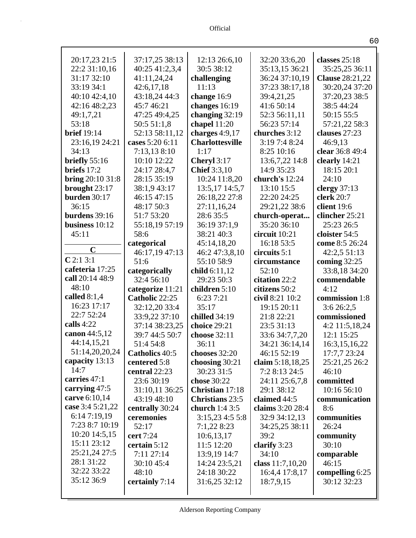| 20:17,23 21:5            | 37:17,25 38:13   | 12:13 26:6,10          | 32:20 33:6,20    | classes $25:18$        |
|--------------------------|------------------|------------------------|------------------|------------------------|
| 22:2 31:10,16            | 40:25 41:2,3,4   | 30:5 38:12             | 35:13,15 36:21   | 35:25,25 36:11         |
| 31:17 32:10              | 41:11,24,24      | challenging            | 36:24 37:10,19   | <b>Clause</b> 28:21,22 |
| 33:19 34:1               | 42:6,17,18       | 11:13                  | 37:23 38:17,18   | 30:20,24 37:20         |
| 40:10 42:4,10            | 43:18,24 44:3    | change 16:9            | 39:4,21,25       | 37:20,23 38:5          |
| 42:16 48:2,23            | 45:7 46:21       | changes 16:19          | 41:6 50:14       | 38:5 44:24             |
| 49:1,7,21                | 47:25 49:4,25    | changing $32:19$       | 52:3 56:11,11    | 50:15 55:5             |
| 53:18                    | 50:5 51:1,8      | chapel $11:20$         | 56:23 57:14      | 57:21,22 58:3          |
| <b>brief</b> 19:14       | 52:13 58:11,12   | charges $4:9,17$       | churches 3:12    | clauses 27:23          |
| 23:16,19 24:21           | cases 5:20 6:11  | <b>Charlottesville</b> | 3:19 7:4 8:24    | 46:9,13                |
| 34:13                    | 7:13,138:10      | 1:17                   | 8:25 10:16       | clear 36:8 49:4        |
| briefly $55:16$          | 10:10 12:22      | Cheryl 3:17            | 13:6,7,22 14:8   | clearly 14:21          |
| briefs $17:2$            | 24:17 28:4,7     | <b>Chief</b> 3:3,10    | 14:9 35:23       | 18:15 20:1             |
| <b>bring</b> $20:1031:8$ | 28:15 35:19      | 10:24 11:8,20          | church's 12:24   | 24:10                  |
| brought 23:17            | 38:1,9 43:17     | 13:5,17 14:5,7         | 13:10 15:5       | clergy $37:13$         |
| <b>burden</b> 30:17      | 46:15 47:15      | 26:18,22 27:8          | 22:20 24:25      | clerk 20:7             |
| 36:15                    | 48:17 50:3       | 27:11,16,24            | 29:21,22 38:6    | client $19:6$          |
| burdens $39:16$          | 51:7 53:20       | 28:6 35:5              | church-operat    | clincher 25:21         |
| business 10:12           | 55:18,19 57:19   | 36:19 37:1,9           | 35:20 36:10      | 25:23 26:5             |
| 45:11                    | 58:6             | 38:21 40:3             | circuit 10:21    | cloister 54:5          |
| $\mathbf C$              | categorical      | 45:14,18,20            | 16:18 53:5       | come 8:5 26:24         |
|                          | 46:17,19 47:13   | 46:2 47:3,8,10         | circuits $5:1$   | 42:2,5 51:13           |
| C2:13:1                  | 51:6             | 55:10 58:9             | circumstance     | coming 32:25           |
| cafeteria 17:25          | categorically    | child 6:11,12          | 52:10            | 33:8,18 34:20          |
|                          |                  |                        |                  |                        |
| call 20:14 48:9          | 32:4 56:10       | 29:23 50:3             | citation 22:2    | commendable            |
| 48:10                    | categorize 11:21 | children 5:10          | citizens 50:2    | 4:12                   |
| called $8:1,4$           | Catholic 22:25   | 6:23 7:21              | civil 8:21 10:2  | commission 1:8         |
| 16:23 17:17              | 32:12,20 33:4    | 35:17                  | 19:15 20:11      | 3:626:2,5              |
| 22:7 52:24               | 33:9,22 37:10    | chilled 34:19          | 21:8 22:21       | commissioned           |
| calls $4:22$             | 37:14 38:23,25   | choice 29:21           | 23:5 31:13       | 4:2 11:5,18,24         |
| canon 44:5,12            | 39:7 44:5 50:7   | choose 32:11           | 33:6 34:7,7,20   | 12:1 15:25             |
| 44:14,15,21              | 51:4 54:8        | 36:11                  | 34:21 36:14,14   | 16:3,15,16,22          |
| 51:14,20,20,24           | Catholics 40:5   | chooses 32:20          | 46:15 52:19      | 17:7,7 23:24           |
| capacity 13:13           | centered 5:8     | choosing 30:21         | claim 5:18,18,25 | 25:21,25 26:2          |
| 14:7                     | central 22:23    | 30:23 31:5             | 7:2 8:13 24:5    | 46:10                  |
| carries 47:1             | 23:6 30:19       | chose 30:22            | 24:11 25:6,7,8   | committed              |
| carrying 47:5            | 31:10,11 36:25   | <b>Christian</b> 17:18 | 29:1 38:12       | 10:16 56:10            |
| carve 6:10,14            | 43:19 48:10      | <b>Christians</b> 23:5 | claimed 44:5     | communication          |
| case 3:4 5:21,22         | centrally 30:24  | church 1:4 3:5         | claims 3:20 28:4 | 8:6                    |
| 6:147:19,19              | ceremonies       | 3:15,234:55:8          | 32:9 34:12,13    | communities            |
| 7:23 8:7 10:19           | 52:17            | 7:1,228:23             | 34:25,25 38:11   | 26:24                  |
| 10:20 14:5,15            | cert 7:24        | 10:6,13,17             | 39:2             | community              |
| 15:11 23:12              | certain 5:12     | 11:5 12:20             | clarify 3:23     | 30:10                  |
| 25:21,24 27:5            | 7:11 27:14       | 13:9,19 14:7           | 34:10            | comparable             |
| 28:1 31:22               | 30:10 45:4       | 14:24 23:5,21          | class 11:7,10,20 | 46:15                  |
| 32:22 33:22              | 48:10            | 24:18 30:22            | 16:4,4 17:8,17   | compelling 6:25        |
| 35:12 36:9               | certainly 7:14   | 31:6,25 32:12          | 18:7,9,15        | 30:12 32:23            |

Alderson Reporting Company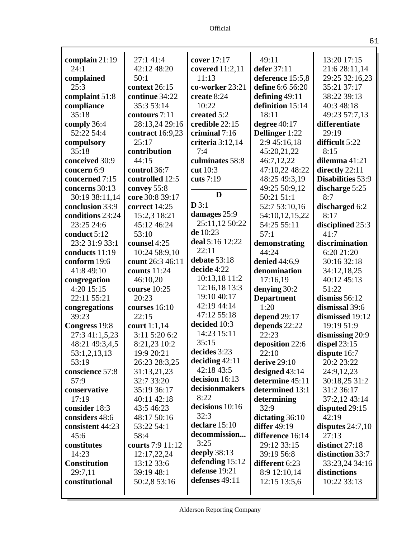| complain 21:19      | 27:1 41:4        | cover 17:17      | 49:11               | 13:20 17:15              |
|---------------------|------------------|------------------|---------------------|--------------------------|
| 24:1                | 42:12 48:20      | covered 11:2,11  | defer 37:11         | 21:6 28:11,14            |
| complained          | 50:1             | 11:13            | deference 15:5,8    | 29:25 32:16,23           |
| 25:3                | context 26:15    | co-worker 23:21  | define 6:6 56:20    | 35:21 37:17              |
| complaint 51:8      | continue 34:22   | create 8:24      | defining 49:11      | 38:22 39:13              |
| compliance          | 35:3 53:14       | 10:22            | definition 15:14    | 40:3 48:18               |
| 35:18               | contours 7:11    | created 5:2      | 18:11               | 49:23 57:7,13            |
| comply 36:4         | 28:13,24 29:16   | credible 22:15   | degree 40:17        | differentiate            |
| 52:22 54:4          | contract 16:9,23 | criminal 7:16    | Dellinger 1:22      | 29:19                    |
| compulsory          | 25:17            | criteria 3:12,14 | 2:9 45:16,18        | difficult 5:22           |
| 35:18               | contribution     | 7:4              | 45:20,21,22         | 8:15                     |
| conceived 30:9      | 44:15            | culminates 58:8  | 46:7,12,22          | dilemma 41:21            |
| concern 6:9         | control 36:7     | cut 10:3         | 47:10,22 48:22      | directly 22:11           |
| concerned 7:15      | controlled 12:5  | cuts 7:19        | 48:25 49:3,19       | <b>Disabilities</b> 53:9 |
| concerns 30:13      | convey 55:8      |                  | 49:25 50:9,12       | discharge 5:25           |
| 30:19 38:11,14      | core 30:8 39:17  | D                | 50:21 51:1          | 8:7                      |
| conclusion 33:9     | correct 14:25    | D3:1             | 52:7 53:10,16       | discharged 6:2           |
| conditions 23:24    | 15:2,3 18:21     | damages 25:9     | 54:10,12,15,22      | 8:17                     |
| 23:25 24:6          | 45:12 46:24      | 25:11,12 50:22   | 54:25 55:11         | disciplined 25:3         |
| conduct 5:12        | 53:10            | de 10:23         | 57:1                | 41:7                     |
| 23:2 31:9 33:1      | counsel 4:25     | deal 5:16 12:22  | demonstrating       | discrimination           |
| conducts 11:19      | 10:24 58:9,10    | 22:11            | 44:24               | 6:20 21:20               |
| conform 19:6        | count 26:3 46:11 | debate 53:18     | denied 44:6,9       | 30:16 32:18              |
| 41:8 49:10          | counts 11:24     | decide 4:22      | denomination        | 34:12,18,25              |
| congregation        | 46:10,20         | 10:13,18 11:2    | 17:16,19            | 40:12 45:13              |
| 4:20 15:15          | course 10:25     | 12:16,18 13:3    | denying 30:2        | 51:22                    |
| 22:11 55:21         | 20:23            | 19:10 40:17      | <b>Department</b>   | dismiss $56:12$          |
| congregations       | courses 16:10    | 42:19 44:14      | 1:20                | dismissal 39:6           |
| 39:23               | 22:15            | 47:12 55:18      | depend $29:17$      | dismissed 19:12          |
| Congress 19:8       | court $1:1,14$   | decided 10:3     | depends 22:22       | 19:19 51:9               |
| 27:3 41:1,5,23      | 3:11 5:20 6:2    | 14:23 15:11      | 22:23               | dismissing 20:9          |
| 48:21 49:3,4,5      | 8:21,23 10:2     | 35:15            | deposition 22:6     | dispel 23:15             |
| 53:1,2,13,13        | 19:9 20:21       | decides 3:23     | 22:10               | dispute 16:7             |
| 53:19               | 26:23 28:3,25    | deciding $42:11$ | derive $29:10$      | 20:2 23:22               |
| conscience 57:8     | 31:13,21,23      | 42:18 43:5       | designed 43:14      | 24:9,12,23               |
| 57:9                | 32:7 33:20       | decision 16:13   | determine 45:11     | 30:18,25 31:2            |
| conservative        | 35:19 36:17      | decisionmakers   | determined 13:1     | 31:2 36:17               |
| 17:19               | 40:11 42:18      | 8:22             | determining         | 37:2,12 43:14            |
| consider 18:3       | 43:5 46:23       | decisions 10:16  | 32:9                | disputed 29:15           |
| considers 48:6      | 48:17 50:16      | 32:3             | dictating 36:10     | 42:19                    |
| consistent 44:23    | 53:22 54:1       | declare $15:10$  | <b>differ</b> 49:19 | disputes $24:7,10$       |
| 45:6                | 58:4             | decommission     | difference 16:14    | 27:13                    |
| constitutes         | courts 7:9 11:12 | 3:25             | 29:12 33:15         | distinct 27:18           |
| 14:23               | 12:17,22,24      | deeply $38:13$   | 39:19 56:8          | distinction 33:7         |
| <b>Constitution</b> | 13:12 33:6       | defending 15:12  | different 6:23      | 33:23,24 34:16           |
| 29:7,11             | 39:19 48:1       | defense 19:21    | 8:9 12:10,14        | distinctions             |
| constitutional      | 50:2,8 53:16     | defenses 49:11   | 12:15 13:5,6        | 10:22 33:13              |
|                     |                  |                  |                     |                          |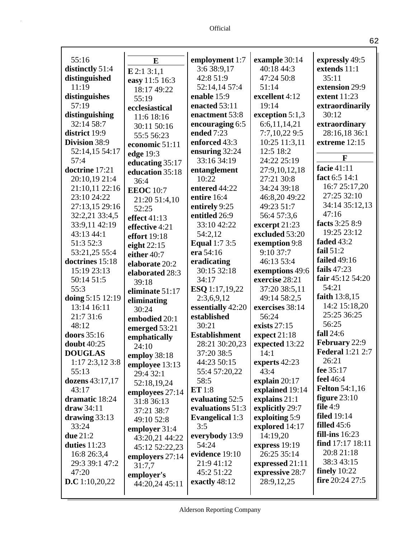| 55:16                 | E                | employment 1:7         | example 30:14   | expressly 49:5          |
|-----------------------|------------------|------------------------|-----------------|-------------------------|
| distinctly 51:4       |                  | 3:6 38:9,17            | 40:18 44:3      | extends 11:1            |
| distinguished         | $E$ 2:1 3:1,1    | 42:8 51:9              | 47:24 50:8      | 35:11                   |
| 11:19                 | easy 11:5 16:3   | 52:14,14 57:4          | 51:14           | extension 29:9          |
| distinguishes         | 18:17 49:22      | enable 15:9            | excellent 4:12  | extent 11:23            |
| 57:19                 | 55:19            | enacted 53:11          | 19:14           | extraordinarily         |
| distinguishing        | ecclesiastical   | enactment 53:8         | exception 5:1,3 | 30:12                   |
| 32:14 58:7            | 11:6 18:16       | encouraging 6:5        | 6:6,11,14,21    | extraordinary           |
| district 19:9         | 30:11 50:16      | ended 7:23             | 7:7,10,22 9:5   | 28:16,18 36:1           |
| Division 38:9         | 55:5 56:23       | enforced 43:3          | 10:25 11:3,11   | extreme 12:15           |
| 52:14,15 54:17        | economic 51:11   | ensuring 32:24         | 12:5 18:2       |                         |
| 57:4                  | edge 19:3        | 33:16 34:19            | 24:22 25:19     | $\mathbf{F}$            |
| doctrine 17:21        | educating 35:17  |                        |                 | facie 41:11             |
|                       | education 35:18  | entanglement           | 27:9,10,12,18   | fact 6:5 14:1           |
| 20:10,19 21:4         | 36:4             | 10:22                  | 27:21 30:8      | 16:7 25:17,20           |
| 21:10,11 22:16        | <b>EEOC</b> 10:7 | entered 44:22          | 34:24 39:18     | 27:25 32:10             |
| 23:10 24:22           | 21:20 51:4,10    | entire 16:4            | 46:8,20 49:22   | 34:14 35:12,13          |
| 27:13,15 29:16        | 52:25            | entirely 9:25          | 49:23 51:7      | 47:16                   |
| 32:2,21 33:4,5        | effect $41:13$   | entitled 26:9          | 56:4 57:3,6     | facts 3:25 8:9          |
| 33:9,11 42:19         | effective 4:21   | 33:10 42:22            | excerpt 21:23   | 19:25 23:12             |
| 43:13 44:1            | effort 19:18     | 54:2,12                | excluded 53:20  | faded 43:2              |
| 51:3 52:3             | eight $22:15$    | <b>Equal 1:7 3:5</b>   | exemption 9:8   | fail $51:2$             |
| 53:21,25 55:4         | either 40:7      | era 54:16              | 9:10 37:7       | failed 49:16            |
| doctrines 15:18       | elaborate 20:2   | eradicating            | 46:13 53:4      | fails 47:23             |
| 15:19 23:13           | elaborated 28:3  | 30:15 32:18            | exemptions 49:6 | fair 45:12 54:20        |
| 50:14 51:5            | 39:18            | 34:17                  | exercise 28:21  | 54:21                   |
| 55:3                  | eliminate 51:17  | ESQ 1:17,19,22         | 37:20 38:5,11   | faith 13:8,15           |
| doing 5:15 12:19      | eliminating      | 2:3,6,9,12             | 49:14 58:2,5    | 14:2 15:18,20           |
| 13:14 16:11           | 30:24            | essentially 42:20      | exercises 38:14 | 25:25 36:25             |
| 21:7 31:6             | embodied 20:1    | established            | 56:24           | 56:25                   |
| 48:12                 | emerged 53:21    | 30:21                  | exists $27:15$  | fall 24:6               |
| doors 35:16           | emphatically     | <b>Establishment</b>   | expect $21:18$  | February 22:9           |
| doubt 40:25           | 24:10            | 28:21 30:20,23         | expected 13:22  | <b>Federal</b> 1:21 2:7 |
| <b>DOUGLAS</b>        | employ 38:18     | 37:20 38:5             | 14:1            | 26:21                   |
| $1:17$ $2:3,12$ $3:8$ | employee 13:13   | 44:23 50:15            | experts 42:23   | fee 35:17               |
| 55:13                 | 29:4 32:1        | 55:4 57:20,22          | 43:4            | <b>feel</b> 46:4        |
| dozens 43:17,17       | 52:18,19,24      | 58:5                   | explain $20:17$ | <b>Felton</b> 54:1,16   |
| 43:17                 | employees 27:14  | ET 1:8                 | explained 19:14 | figure $23:10$          |
| dramatic 18:24        | 31:8 36:13       | evaluating 52:5        | explains 21:1   | file $4:9$              |
| $draw 34:11$          | 37:21 38:7       | evaluations 51:3       | explicitly 29:7 | <b>filed</b> 19:14      |
| drawing $33:13$       | 49:10 52:8       | <b>Evangelical 1:3</b> | exploiting 5:9  | filled $45:6$           |
| 33:24                 | employer 31:4    | 3:5                    | explored 14:17  | fill-ins $16:23$        |
| due 21:2              | 43:20,21 44:22   | everybody 13:9         | 14:19,20        | find $17:17$ $18:11$    |
| duties $11:23$        | 45:12 52:22,23   | 54:24                  | express 19:19   |                         |
| 16:8 26:3,4           | employers 27:14  | evidence 19:10         | 26:25 35:14     | 20:8 21:18              |
| 29:3 39:1 47:2        | 31:7,7           | 21:9 41:12             | expressed 21:11 | 38:3 43:15              |
| 47:20                 | employer's       | 45:2 51:22             | expressive 28:7 | finely $10:22$          |
| <b>D.C</b> 1:10,20,22 | 44:20,24 45:11   | exactly 48:12          | 28:9,12,25      | fire $20:24$ 27:5       |
|                       |                  |                        |                 |                         |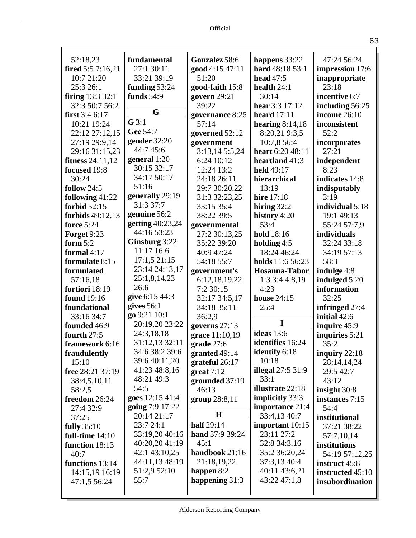| 52:18,23                                    | fundamental            | Gonzalez 58:6                  |                                    | 47:24 56:24                  |
|---------------------------------------------|------------------------|--------------------------------|------------------------------------|------------------------------|
| fired 5:5 7:16,21                           | 27:1 30:11             | good 4:15 47:11                | happens 33:22<br>hard 48:18 53:1   | impression 17:6              |
| 10:7 21:20                                  | 33:21 39:19            | 51:20                          | head 47:5                          | inappropriate                |
| 25:3 26:1                                   | funding 53:24          | good-faith 15:8                | health $24:1$                      | 23:18                        |
|                                             | funds $54:9$           | govern 29:21                   | 30:14                              | incentive 6:7                |
| <b>firing</b> $13:33:2:1$<br>32:3 50:7 56:2 |                        | 39:22                          | hear 3:3 17:12                     |                              |
| first 3:4 6:17                              | G                      |                                |                                    | including 56:25              |
|                                             | $G$ 3:1                | governance 8:25<br>57:14       | heard $17:11$                      | income 26:10                 |
| 10:21 19:24<br>22:12 27:12,15               | Gee 54:7               |                                | hearing $8:14,18$<br>8:20,21 9:3,5 | inconsistent<br>52:2         |
|                                             | gender 32:20           | governed 52:12                 | 10:7,8 56:4                        |                              |
| 27:19 29:9,14                               | 44:7 45:6              | government                     |                                    | incorporates<br>27:21        |
| 29:16 31:15,23                              | general 1:20           | 3:13,14 5:5,24                 | heart 6:20 48:11                   |                              |
| fitness $24:11,12$                          | 30:15 32:17            | 6:24 10:12                     | heartland 41:3                     | independent<br>8:23          |
| focused 19:8                                | 34:17 50:17            | 12:24 13:2                     | held 49:17                         | indicates 14:8               |
| 30:24                                       | 51:16                  | 24:18 26:11                    | hierarchical                       |                              |
| follow 24:5                                 | generally 29:19        | 29:7 30:20,22<br>31:3 32:23,25 | 13:19<br><b>hire</b> 17:18         | indisputably                 |
| following 41:22<br>forbid 52:15             | 31:3 37:7              | 33:15 35:4                     |                                    | 3:19<br>individual 5:18      |
|                                             | genuine 56:2           | 38:22 39:5                     | hiring $32:2$                      | 19:1 49:13                   |
| forbids $49:12,13$<br><b>force</b> 5:24     | getting 40:23,24       |                                | history 4:20<br>53:4               | 55:24 57:7,9                 |
| Forget 9:23                                 | 44:16 53:23            | governmental<br>27:2 30:13,25  | hold 18:16                         | individuals                  |
| form $5:2$                                  | Ginsburg 3:22          | 35:22 39:20                    |                                    | 32:24 33:18                  |
| formal 4:17                                 | 11:17 16:6             | 40:9 47:24                     | holding $4:5$<br>18:24 46:24       | 34:19 57:13                  |
| formulate 8:15                              | 17:1,521:15            | 54:18 55:7                     | holds 11:6 56:23                   | 58:3                         |
| formulated                                  | 23:14 24:13,17         |                                |                                    |                              |
|                                             | 25:1,8,14,23           | government's<br>6:12,18,19,22  | Hosanna-Tabor                      | indulge 4:8                  |
| 57:16,18<br>fortiori 18:19                  | 26:6                   | 7:2 30:15                      | 1:33:44:8,19<br>4:23               | indulged 5:20<br>information |
| found 19:16                                 | give 6:15 44:3         | 32:17 34:5,17                  | <b>house</b> 24:15                 | 32:25                        |
| foundational                                | gives $56:1$           | 34:18 35:11                    | 25:4                               | infringed 27:4               |
| 33:16 34:7                                  | go 9:21 10:1           | 36:2,9                         |                                    | initial 42:6                 |
| founded 46:9                                | 20:19,20 23:22         | governs $27:13$                | I                                  | inquire 45:9                 |
| fourth 27:5                                 | 24:3,18,18             | grace 11:10,19                 | <b>ideas</b> 13:6                  | inquiries 5:21               |
| framework 6:16                              | 31:12,13 32:11         | grade 27:6                     | identifies 16:24                   | 35:2                         |
| fraudulently                                | 34:6 38:2 39:6         | granted 49:14                  | identify 6:18                      | inquiry $22:18$              |
| 15:10                                       | 39:6 40:11,20          | grateful 26:17                 | 10:18                              | 28:14,14,24                  |
| free 28:21 37:19                            | 41:23 48:8,16          | $gr$ eat 7:12                  | illegal $27:531:9$                 | 29:5 42:7                    |
| 38:4,5,10,11                                | 48:21 49:3             | grounded 37:19                 | 33:1                               | 43:12                        |
| 58:2,5                                      | 54:5                   | 46:13                          | illustrate 22:18                   | insight $30:8$               |
| freedom 26:24                               | goes 12:15 41:4        | group 28:8,11                  | implicitly 33:3                    | instances 7:15               |
| 27:4 32:9                                   | <b>going</b> 7:9 17:22 |                                | importance 21:4                    | 54:4                         |
| 37:25                                       | 20:14 21:17            | H                              | 33:4,13 40:7                       | institutional                |
| fully 35:10                                 | 23:7 24:1              | <b>half</b> 29:14              | important 10:15                    | 37:21 38:22                  |
| full-time $14:10$                           | 33:19,20 40:16         | hand 37:9 39:24                | 23:11 27:2                         | 57:7,10,14                   |
| function 18:13                              | 40:20,20 41:19         | 45:1                           | 32:8 34:3,16                       | institutions                 |
| 40:7                                        | 42:1 43:10,25          | handbook 21:16                 | 35:2 36:20,24                      | 54:19 57:12,25               |
| functions 13:14                             | 44:11,13 48:19         | 21:18,19,22                    | 37:3,13 40:4                       | instruct 45:8                |
| 14:15,19 16:19                              | 51:2,9 52:10           | happen $8:2$                   | 40:11 43:6,21                      | instructed 45:10             |
| 47:1,5 56:24                                | 55:7                   | happening $31:3$               | 43:22 47:1,8                       | insubordination              |
|                                             |                        |                                |                                    |                              |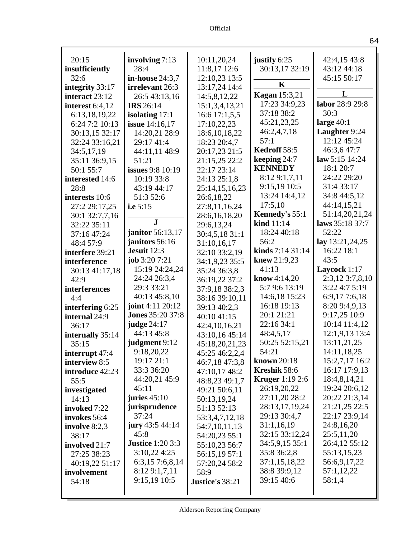| 20:15             | involving 7:13          | 10:11,20,24      | justify 6:25           | 42:4,15 43:8    |
|-------------------|-------------------------|------------------|------------------------|-----------------|
| insufficiently    | 28:4                    | 11:8,17 12:6     | 30:13,17 32:19         | 43:12 44:18     |
| 32:6              | in-house 24:3,7         | 12:10,23 13:5    | K                      | 45:15 50:17     |
| integrity 33:17   | irrelevant 26:3         | 13:17,24 14:4    | <b>Kagan</b> 15:3,21   | L               |
| interact 23:12    | 26:5 43:13,16           | 14:5,8,12,22     | 17:23 34:9,23          | labor 28:9 29:8 |
| interest $6:4,12$ | <b>IRS</b> 26:14        | 15:1,3,4,13,21   | 37:18 38:2             | 30:3            |
| 6:13,18,19,22     | isolating $17:1$        | 16:6 17:1,5,5    | 45:21,23,25            | large $40:1$    |
| 6:24 7:2 10:13    | <b>issue</b> 14:16,17   | 17:10,22,23      | 46:2,4,7,18            | Laughter 9:24   |
| 30:13,15 32:17    | 14:20,21 28:9           | 18:6, 10, 18, 22 | 57:1                   | 12:12 45:24     |
| 32:24 33:16,21    | 29:17 41:4              | 18:23 20:4,7     | Kedroff 58:5           | 46:3,647:7      |
| 34:5,17,19        | 44:11,11 48:9           | 20:17,23 21:5    | keeping 24:7           | law 5:15 14:24  |
| 35:11 36:9,15     | 51:21                   | 21:15,25 22:2    | <b>KENNEDY</b>         | 18:1 20:7       |
| 50:1 55:7         | <b>issues</b> 9:8 10:19 | 22:17 23:14      | 8:12 9:1,7,11          | 24:22 29:20     |
| interested 14:6   | 10:19 33:8              | 24:13 25:1,8     | 9:15,19 10:5           | 31:4 33:17      |
| 28:8              | 43:19 44:17             | 25:14,15,16,23   | 13:24 14:4,12          | 34:8 44:5,12    |
| interests 10:6    | 51:3 52:6               | 26:6,18,22       | 17:5,10                | 44:14,15,21     |
| 27:2 29:17,25     | i.e 5:15                | 27:8,11,16,24    | Kennedy's 55:1         | 51:14,20,21,24  |
| 30:1 32:7,7,16    | ${\bf J}$               | 28:6,16,18,20    | kind $11:14$           | laws 35:18 37:7 |
| 32:22 35:11       | janitor 56:13,17        | 29:6,13,24       | 18:24 40:18            | 52:22           |
| 37:16 47:24       | janitors 56:16          | 30:4,5,18 31:1   | 56:2                   | lay 13:21,24,25 |
| 48:4 57:9         | Jesuit 12:3             | 31:10,16,17      | kinds 7:14 31:14       | 16:22 18:1      |
| interfere 39:21   | job $3:207:21$          | 32:10 33:2,19    | knew $21:9,23$         | 43:5            |
| interference      | 15:19 24:24,24          | 34:1,9,23 35:5   | 41:13                  | Laycock 1:17    |
| 30:13 41:17,18    | 24:24 26:3,4            | 35:24 36:3,8     | <b>know</b> 4:14,20    | 2:3,12 3:7,8,10 |
| 42:9              | 29:3 33:21              | 36:19,22 37:2    | 5:7 9:6 13:19          | 3:22 4:7 5:19   |
| interferences     | 40:13 45:8,10           | 37:9,18 38:2,3   | 14:6,18 15:23          | 6:9,177:6,18    |
| 4:4               | <b>joint</b> 4:11 20:12 | 38:16 39:10,11   | 16:18 19:13            | 8:20 9:4,9,13   |
| interfering 6:25  | <b>Jones 35:20 37:8</b> | 39:13 40:2,3     | 20:1 21:21             | 9:17,25 10:9    |
| internal 24:9     | judge 24:17             | 40:10 41:15      | 22:16 34:1             | 10:14 11:4,12   |
| 36:17             | 44:13 45:8              | 42:4,10,16,21    | 48:4,5,17              | 12:1,9,13 13:4  |
| internally 35:14  | judgment 9:12           | 43:10,16 45:14   | 50:25 52:15,21         | 13:11,21,25     |
| 35:15             | 9:18,20,22              | 45:18,20,21,23   | 54:21                  | 14:11,18,25     |
| interrupt 47:4    | 19:17 21:1              | 45:25 46:2,2,4   | <b>known</b> 20:18     | 15:2,7,17 16:2  |
| interview 8:5     | 33:3 36:20              | 46:7,18 47:3,8   | Kreshik 58:6           | 16:17 17:9,13   |
| introduce 42:23   | 44:20,21 45:9           | 47:10,17 48:2    | <b>Kruger</b> 1:19 2:6 | 18:4,8,14,21    |
| 55:5              | 45:11                   | 48:8,23 49:1,7   | 26:19,20,22            | 19:24 20:6,12   |
| investigated      | juries $45:10$          | 49:21 50:6,11    | 27:11,20 28:2          | 20:22 21:3,14   |
| 14:13             | jurisprudence           | 50:13,19,24      | 28:13,17,19,24         | 21:21,25 22:5   |
| invoked 7:22      | 37:24                   | 51:13 52:13      | 29:13 30:4,7           | 22:17 23:9,14   |
| invokes 56:4      | jury 43:5 44:14         | 53:3,4,7,12,18   | 31:1,16,19             | 24:8,16,20      |
| involve $8:2,3$   | 45:8                    | 54:7,10,11,13    | 32:15 33:12,24         | 25:5,11,20      |
| 38:17             | <b>Justice</b> 1:20 3:3 | 54:20,23 55:1    | 34:5,9,15 35:1         | 26:4,12 55:12   |
| involved 21:7     | 3:10,224:25             | 55:10,23 56:7    | 35:8 36:2,8            | 55:13,15,23     |
| 27:25 38:23       | 6:3,15 7:6,8,14         | 56:15,19 57:1    | 37:1,15,18,22          | 56:6,9,17,22    |
| 40:19,22 51:17    | 8:129:1,7,11            | 57:20,24 58:2    | 38:8 39:9,12           | 57:1,12,22      |
| involvement       | 9:15,19 10:5            | 58:9             | 39:15 40:6             | 58:1,4          |
| 54:18             |                         | Justice's 38:21  |                        |                 |
|                   |                         |                  |                        |                 |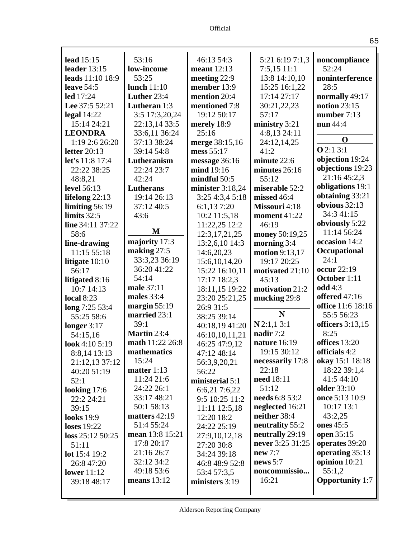| lead $15:15$       | 53:16           | 46:13 54:3       | 5:21 6:19 7:1,3       | noncompliance          |
|--------------------|-----------------|------------------|-----------------------|------------------------|
| leader 13:15       | low-income      | meant 12:13      | $7:5,15$ 11:1         | 52:24                  |
| leads 11:10 18:9   | 53:25           | meeting 22:9     | 13:8 14:10,10         | noninterference        |
| leave $54:5$       | lunch $11:10$   | member 13:9      | 15:25 16:1,22         | 28:5                   |
| led 17:24          | Luther 23:4     | mention 20:4     | 17:14 27:17           | normally 49:17         |
| Lee 37:5 52:21     | Lutheran 1:3    | mentioned 7:8    | 30:21,22,23           | notion 23:15           |
| legal $14:22$      | 3:5 17:3,20,24  | 19:12 50:17      | 57:17                 | number 7:13            |
| 15:14 24:21        | 22:13,14 33:5   | merely 18:9      | ministry 3:21         | nun 44:4               |
| <b>LEONDRA</b>     | 33:6,11 36:24   | 25:16            | 4:8,13 24:11          | $\mathbf 0$            |
| 1:19 2:6 26:20     | 37:13 38:24     | merge 38:15,16   | 24:12,14,25           |                        |
| letter $20:13$     | 39:14 54:8      | mess 55:17       | 41:2                  | Q2:13:1                |
| let's 11:8 17:4    | Lutheranism     | message 36:16    | minute 22:6           | objection 19:24        |
| 22:22 38:25        | 22:24 23:7      | mind 19:16       | minutes 26:16         | objections 19:23       |
| 48:8,21            | 42:24           | mindful 50:5     | 55:12                 | 21:16 45:2,3           |
| <b>level</b> 56:13 | Lutherans       | minister 3:18,24 | miserable 52:2        | obligations 19:1       |
| lifelong $22:13$   | 19:14 26:13     | 3:25 4:3,4 5:18  | missed 46:4           | obtaining 33:21        |
| limiting $56:19$   | 37:12 40:5      | 6:1,137:20       | Missouri 4:18         | obvious 32:13          |
| limits $32:5$      | 43:6            | $10:2$ 11:5,18   | <b>moment</b> 41:22   | 34:3 41:15             |
| line 34:11 37:22   |                 | 11:22,25 12:2    | 46:19                 | obviously 5:22         |
| 58:6               | M               | 12:3, 17, 21, 25 | money 50:19,25        | 11:14 56:24            |
| line-drawing       | majority 17:3   | 13:2,6,10 14:3   | morning 3:4           | occasion 14:2          |
| 11:15 55:18        | making $27:5$   | 14:6,20,23       | <b>motion</b> 9:13,17 | Occupational           |
| litigate $10:10$   | 33:3,23 36:19   | 15:6, 10, 14, 20 | 19:17 20:25           | 24:1                   |
| 56:17              | 36:20 41:22     | 15:22 16:10,11   | motivated 21:10       | occur 22:19            |
| litigated 8:16     | 54:14           | 17:17 18:2,3     | 45:13                 | October 1:11           |
| 10:7 14:13         | male 37:11      | 18:11,15 19:22   | motivation 21:2       | odd 4:3                |
| <b>local 8:23</b>  | males 33:4      | 23:20 25:21,25   | mucking 29:8          | offered 47:16          |
| long 7:25 53:4     | margin $55:19$  | 26:9 31:5        |                       | office 11:6 18:16      |
| 55:25 58:6         | married 23:1    | 38:25 39:14      | N                     | 55:5 56:23             |
| longer $3:17$      | 39:1            | 40:18,19 41:20   | $N$ 2:1,1 3:1         | officers $3:13,15$     |
| 54:15,16           | Martin 23:4     | 46:10,10,11,21   | nadir 7:2             | 8:25                   |
| look 4:10 5:19     | math 11:22 26:8 | 46:25 47:9,12    | nature 16:19          | offices 13:20          |
| 8:8,14 13:13       | mathematics     | 47:12 48:14      | 19:15 30:12           | officials 4:2          |
| 21:12,13 37:12     | 15:24           | 56:3,9,20,21     | necessarily 17:8      | okay 15:1 18:18        |
| 40:20 51:19        | matter $1:13$   | 56:22            | 22:18                 | 18:22 39:1,4           |
| 52:1               | 11:24 21:6      | ministerial 5:1  | need 18:11            | 41:5 44:10             |
| looking 17:6       | 24:22 26:1      | 6:6,21 7:6,22    | 51:12                 | <b>older</b> 33:10     |
| 22:2 24:21         | 33:17 48:21     | 9:5 10:25 11:2   | needs 6:8 53:2        | once 5:13 10:9         |
| 39:15              | 50:1 58:13      | 11:11 12:5,18    | neglected 16:21       | 10:17 13:1             |
| <b>looks</b> 19:9  | matters $42:19$ | 12:20 18:2       | neither 38:4          | 43:2,25                |
| <b>loses</b> 19:22 | 51:4 55:24      | 24:22 25:19      | neutrality 55:2       | ones 45:5              |
| loss 25:12 50:25   | mean 13:8 15:21 | 27:9,10,12,18    | neutrally 29:19       | open 35:15             |
| 51:11              | 17:8 20:17      | 27:20 30:8       | never 3:25 31:25      | operates 39:20         |
| lot 15:4 19:2      | 21:16 26:7      | 34:24 39:18      | new $7:7$             | operating 35:13        |
| 26:8 47:20         | 32:12 34:2      | 46:8 48:9 52:8   | news 5:7              | opinion $10:21$        |
| <b>lower</b> 11:12 | 49:18 53:6      | 53:4 57:3,5      | noncommissio          | 55:1,2                 |
| 39:18 48:17        | means $13:12$   | ministers $3:19$ | 16:21                 | <b>Opportunity</b> 1:7 |
|                    |                 |                  |                       |                        |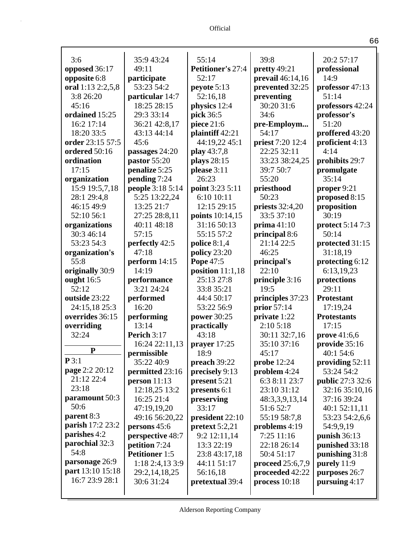| 3:6                              | 35:9 43:24            | 55:14                    | 39:8               | 20:2 57:17              |
|----------------------------------|-----------------------|--------------------------|--------------------|-------------------------|
| opposed 36:17                    | 49:11                 | <b>Petitioner's 27:4</b> | pretty 49:21       | professional            |
| opposite 6:8                     | participate           | 52:17                    | prevail 46:14,16   | 14:9                    |
| oral 1:13 2:2,5,8                | 53:23 54:2            | peyote 5:13              | prevented 32:25    | professor 47:13         |
| 3:8 26:20                        | particular 14:7       | 52:16,18                 | preventing         | 51:14                   |
| 45:16                            | 18:25 28:15           | physics 12:4             | 30:20 31:6         | professors 42:24        |
| ordained 15:25                   | 29:3 33:14            | pick 36:5                | 34:6               | professor's             |
| 16:2 17:14                       | 36:21 42:8,17         | piece 21:6               | pre-Employm        | 51:20                   |
| 18:20 33:5                       | 43:13 44:14           | plaintiff 42:21          | 54:17              | proffered 43:20         |
| order 23:15 57:5                 | 45:6                  | 44:19,22 45:1            | priest 7:20 12:4   | proficient 4:13         |
| ordered 50:16                    | passages 24:20        | play 43:7,8              | 22:25 32:11        | 4:14                    |
| ordination                       | pastor 55:20          | plays 28:15              | 33:23 38:24,25     | prohibits 29:7          |
| 17:15                            | penalize 5:25         | please 3:11              | 39:7 50:7          | promulgate              |
| organization                     | pending 7:24          | 26:23                    | 55:20              | 35:14                   |
| 15:9 19:5,7,18                   | people 3:18 5:14      | point 3:23 5:11          | priesthood         | proper 9:21             |
| 28:1 29:4,8                      | 5:25 13:22,24         | 6:10 10:11               | 50:23              | proposed 8:15           |
| 46:15 49:9                       | 13:25 21:7            | 12:15 29:15              | priests 32:4,20    | proposition             |
| 52:10 56:1                       | 27:25 28:8,11         | points 10:14,15          | 33:5 37:10         | 30:19                   |
| organizations                    | 40:11 48:18           | 31:16 50:13              | prima $41:10$      | protect 5:14 7:3        |
| 30:3 46:14                       | 57:15                 | 55:15 57:2               | principal 8:6      | 50:14                   |
| 53:23 54:3                       | perfectly 42:5        | police $8:1,4$           | 21:14 22:5         | protected 31:15         |
| organization's                   | 47:18                 | policy 23:20             | 46:25              | 31:18,19                |
| 55:8                             | perform $14:15$       | Pope 47:5                | principal's        | protecting 6:12         |
| originally 30:9                  | 14:19                 | position $11:1,18$       | 22:10              | 6:13,19,23              |
| ought 16:5                       | performance           | 25:13 27:8               | principle 3:16     | protections             |
| 52:12                            | 3:21 24:24            | 33:8 35:21               | 19:5               | 29:11                   |
| outside 23:22                    | performed             | 44:4 50:17               | principles 37:23   | <b>Protestant</b>       |
| 24:15,18 25:3                    | 16:20                 | 53:22 56:9               | prior 57:14        | 17:19,24                |
| overrides 36:15                  | performing            | power 30:25              | private 1:22       | <b>Protestants</b>      |
| overriding                       | 13:14                 | practically              | 2:105:18           | 17:15                   |
| 32:24                            | Perich 3:17           | 43:18                    | 30:11 32:7,16      | prove 41:6,6            |
| ${\bf P}$                        | 16:24 22:11,13        | prayer $17:25$           | 35:10 37:16        | provide 35:16           |
|                                  | permissible           | 18:9                     | 45:17              | 40:1 54:6               |
| P3:1                             | 35:22 40:9            | preach 39:22             | probe $12:24$      | providing $52:11$       |
| page 2:2 20:12<br>21:12 22:4     | permitted 23:16       | precisely 9:13           | problem $4:24$     | 53:24 54:2              |
| 23:18                            | person $11:13$        | present 5:21             | 6:3 8:11 23:7      | <b>public</b> 27:3 32:6 |
|                                  | 12:18,25 13:2         | presents 6:1             | 23:10 31:12        | 32:16 35:10,16          |
| paramount 50:3                   | 16:25 21:4            | preserving               | 48:3,3,9,13,14     | 37:16 39:24             |
| 50:6                             | 47:19,19,20           | 33:17                    | 51:6 52:7          | 40:1 52:11,11           |
| parent 8:3                       | 49:16 56:20,22        | president 22:10          | 55:19 58:7,8       | 53:23 54:2,6,6          |
| parish 17:2 23:2<br>parishes 4:2 | persons 45:6          | pretext $5:2,21$         | problems 4:19      | 54:9,9,19               |
|                                  | perspective 48:7      | 9:2 12:11,14             | 7:25 11:16         | punish $36:13$          |
| parochial 32:3<br>54:8           | petition 7:24         | 13:3 22:19               | 22:18 26:14        | punished 33:18          |
|                                  | <b>Petitioner</b> 1:5 | 23:8 43:17,18            | 50:4 51:17         | punishing 31:8          |
| parsonage 26:9                   | 1:182:4,133:9         | 44:11 51:17              | proceed $25:6,7,9$ | purely 11:9             |
| part 13:10 15:18                 | 29:2, 14, 18, 25      | 56:16,18                 | proceeded 42:22    | purposes 26:7           |
| 16:7 23:9 28:1                   | 30:6 31:24            | pretextual 39:4          | process $10:18$    | pursuing 4:17           |
|                                  |                       |                          |                    |                         |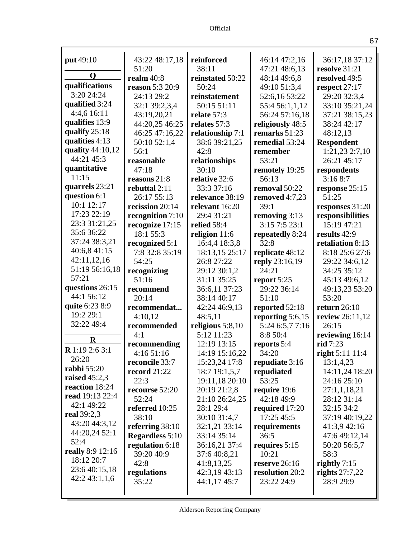| <b>put</b> 49:10                  | 43:22 48:17,18         | reinforced                     | 46:14 47:2,16                | 36:17,18 37:12              |
|-----------------------------------|------------------------|--------------------------------|------------------------------|-----------------------------|
| Q                                 | 51:20                  | 38:11                          | 47:21 48:6,13                | resolve 31:21               |
| qualifications                    | realm $40:8$           | reinstated 50:22               | 48:14 49:6,8                 | resolved 49:5               |
| 3:20 24:24                        | reason 5:3 20:9        | 50:24                          | 49:10 51:3,4                 | respect 27:17               |
|                                   | 24:13 29:2             | reinstatement                  | 52:6,16 53:22                | 29:20 32:3,4                |
| qualified 3:24                    | 32:1 39:2,3,4          | 50:15 51:11                    | 55:4 56:1,1,12               | 33:10 35:21,24              |
| 4:4,6 16:11                       | 43:19,20,21            | relate 57:3                    | 56:24 57:16,18               | 37:21 38:15,23              |
| qualifies 13:9<br>qualify $25:18$ | 44:20,25 46:25         | relates 57:3                   | religiously 48:5             | 38:24 42:17                 |
| qualities 4:13                    | 46:25 47:16,22         | relationship 7:1               | remarks 51:23                | 48:12,13                    |
| quality 44:10,12                  | 50:10 52:1,4           | 38:6 39:21,25                  | remedial 53:24               | <b>Respondent</b>           |
| 44:21 45:3                        | 56:1                   | 42:8                           | remember                     | 1:21,23 2:7,10              |
|                                   | reasonable             | relationships                  | 53:21                        | 26:21 45:17                 |
| quantitative<br>11:15             | 47:18                  | 30:10                          | remotely 19:25               | respondents                 |
|                                   | reasons 21:8           | relative 32:6                  | 56:13                        | 3:168:7                     |
| quarrels 23:21<br>question 6:1    | rebuttal 2:11          | 33:3 37:16                     | removal 50:22                | response 25:15              |
| 10:1 12:17                        | 26:17 55:13            | relevance 38:19                | removed $4:7,23$             | 51:25                       |
| 17:23 22:19                       | recission 20:14        | relevant 16:20                 | 39:1                         | responses 31:20             |
| 23:3 31:21,25                     | recognition 7:10       | 29:4 31:21                     | removing 3:13                | responsibilities            |
| 35:6 36:22                        | recognize 17:15        | relied 58:4                    | 3:157:523:1                  | 15:19 47:21                 |
| 37:24 38:3,21                     | 18:1 55:3              | religion 11:6                  | repeatedly 8:24              | results 42:9                |
| 40:6,8 41:15                      | recognized 5:1         | 16:4,4 18:3,8                  | 32:8                         | retaliation 8:13            |
| 42:11,12,16                       | 7:8 32:8 35:19         | 18:13,15 25:17                 | replicate 48:12              | 8:18 25:6 27:6              |
| 51:19 56:16,18                    | 54:25                  | 26:8 27:22                     | reply 23:16,19               | 29:22 34:6,12               |
| 57:21                             | recognizing            | 29:12 30:1,2                   | 24:21                        | 34:25 35:12                 |
| questions 26:15                   | 51:16                  | 31:11 35:25                    | report 5:25                  | 45:13 49:6,12               |
| 44:1 56:12                        | recommend              | 36:6,11 37:23                  | 29:22 36:14                  | 49:13,23 53:20              |
| quite 6:23 8:9                    | 20:14                  | 38:14 40:17                    | 51:10                        | 53:20                       |
| 19:2 29:1                         | recommendat            | 42:24 46:9,13                  | reported 52:18               | return $26:10$              |
| 32:22 49:4                        | 4:10,12                | 48:5,11                        | reporting $5:6,15$           | review 26:11,12             |
|                                   | recommended            | religious $5:8,10$             | 5:24 6:5,7 7:16              | 26:15                       |
| $\bf R$                           | 4:1                    | 5:12 11:23                     | 8:8 50:4                     | reviewing 16:14             |
| <b>R</b> 1:19 2:6 3:1             | recommending           | 12:19 13:15                    | reports 5:4                  | rid 7:23                    |
| 26:20                             | 4:1651:16              | 14:19 15:16,22                 | 34:20                        | right $5:11\,11:4$          |
| <b>rabbi</b> 55:20                | reconcile 33:7         | 15:23,24 17:8                  | repudiate 3:16               | 13:1,4,23                   |
| raised $45:2,3$                   | record $21:22$<br>22:3 | 18:7 19:1,5,7                  | repudiated<br>53:25          | 14:11,24 18:20              |
| reaction 18:24                    | recourse 52:20         | 19:11,18 20:10<br>20:19 21:2,8 |                              | 24:16 25:10                 |
| <b>read</b> 19:13 22:4            | 52:24                  | 21:10 26:24,25                 | require 19:6<br>42:18 49:9   | 27:1,1,18,21<br>28:12 31:14 |
| 42:1 49:22                        | referred 10:25         | 28:1 29:4                      |                              | 32:15 34:2                  |
| real 39:2,3                       | 38:10                  |                                | required 17:20<br>17:25 45:5 | 37:19 40:19,22              |
| 43:20 44:3,12                     | referring $38:10$      | 30:10 31:4,7<br>32:1,21 33:14  |                              | 41:3,9 42:16                |
| 44:20,24 52:1                     | <b>Regardless</b> 5:10 | 33:14 35:14                    | requirements<br>36:5         | 47:6 49:12,14               |
| 52:4                              | regulation 6:18        | 36:16,21 37:4                  | requires $5:15$              | 50:20 56:5,7                |
| <b>really</b> 8:9 12:16           | 39:20 40:9             | 37:6 40:8,21                   | 10:21                        | 58:3                        |
| 18:12 20:7                        | 42:8                   | 41:8,13,25                     | reserve $26:16$              | rightly $7:15$              |
| 23:6 40:15,18                     | regulations            | 42:3,19 43:13                  | resolution 20:2              | rights $27:7,22$            |
| 42:243:1,1,6                      | 35:22                  | 44:1,17 45:7                   | 23:22 24:9                   | 28:9 29:9                   |
|                                   |                        |                                |                              |                             |
|                                   |                        |                                |                              |                             |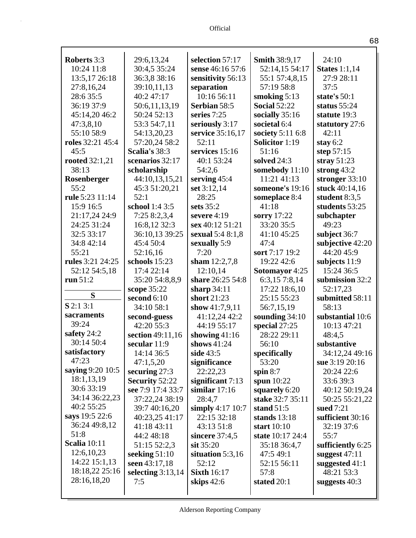| <b>Roberts</b> 3:3  | 29:6,13,24                               | selection 57:17                | <b>Smith 38:9,17</b>          | 24:10                            |
|---------------------|------------------------------------------|--------------------------------|-------------------------------|----------------------------------|
| 10:24 11:8          | 30:4,5 35:24                             | sense 46:16 57:6               | 52:14,15 54:17                | <b>States</b> 1:1,14             |
| 13:5,17 26:18       | 36:3,8 38:16                             | sensitivity 56:13              | 55:1 57:4,8,15                | 27:9 28:11                       |
| 27:8,16,24          | 39:10,11,13                              | separation                     | 57:19 58:8                    | 37:5                             |
| 28:6 35:5           | 40:2 47:17                               | 10:16 56:11                    | smoking $5:13$                | state's $50:1$                   |
| 36:19 37:9          | 50:6,11,13,19                            | <b>Serbian 58:5</b>            | <b>Social 52:22</b>           | status $55:24$                   |
| 45:14,20 46:2       | 50:24 52:13                              | series $7:25$                  | socially 35:16                | statute 19:3                     |
| 47:3,8,10           | 53:3 54:7,11                             | seriously 3:17                 | societal 6:4                  | statutory 27:6                   |
| 55:10 58:9          | 54:13,20,23                              | service 35:16,17               | society $5:116:8$             | 42:11                            |
| roles 32:21 45:4    | 57:20,24 58:2                            | 52:11                          | <b>Solicitor</b> 1:19         | stay $6:2$                       |
| 45:5                | Scalia's 38:3                            | services 15:16                 | 51:16                         | step $57:15$                     |
| rooted $32:1,21$    | scenarios 32:17                          | 40:1 53:24                     | solved 24:3                   | stray $51:23$                    |
| 38:13               | scholarship                              | 54:2,6                         | somebody 11:10                | strong $43:2$                    |
| Rosenberger         | 44:10,13,15,21                           | serving $45:4$                 | 11:21 41:13                   | stronger 33:10                   |
| 55:2                | 45:3 51:20,21                            | set 3:12,14                    | someone's 19:16               | stuck 40:14,16                   |
| rule 5:23 11:14     | 52:1                                     | 28:25                          | someplace 8:4                 | student $8:3,5$                  |
| 15:9 16:5           | school 1:4 3:5                           | sets $35:2$                    | 41:18                         | students 53:25                   |
| 21:17,24 24:9       | 7:25 8:2,3,4                             | severe 4:19                    | sorry 17:22                   | subchapter                       |
| 24:25 31:24         | 16:8,12 32:3                             | sex 40:12 51:21                | 33:20 35:5                    | 49:23                            |
| 32:5 33:17          | 36:10,13 39:25                           | sexual 5:4 8:1,8               | 41:10 45:25                   | subject 36:7                     |
| 34:8 42:14          | 45:4 50:4                                | sexually 5:9                   | 47:4                          | subjective 42:20                 |
| 55:21               | 52:16,16                                 | 7:20                           | sort 7:17 19:2                | 44:20 45:9                       |
| rules 3:21 24:25    | schools 15:23                            | sham $12:2,7,8$                | 19:22 42:6                    | subjects 11:9                    |
| 52:12 54:5,18       | 17:4 22:14                               | 12:10,14                       | <b>Sotomayor</b> 4:25         | 15:24 36:5                       |
| run 51:2            | 35:20 54:8,8,9                           | share 26:25 54:8               | 6:3,15 7:8,14                 | submission 32:2                  |
| S                   | scope 35:22                              | sharp 34:11                    | 17:22 18:6,10                 | 52:17,23                         |
| $S$ 2:1 3:1         | second 6:10                              | short 21:23                    | 25:15 55:23                   | submitted 58:11                  |
| sacraments          | 34:10 58:1                               | show $41:7,9,11$               | 56:7,15,19                    | 58:13                            |
| 39:24               | second-guess                             | 41:12,24 42:2                  | sounding $34:10$              | substantial 10:6                 |
| safety 24:2         | 42:20 55:3                               | 44:19 55:17                    | special 27:25                 | 10:13 47:21                      |
| 30:14 50:4          | section 49:11,16                         | showing $41:16$                | 28:22 29:11                   | 48:4,5                           |
| satisfactory        | secular 11:9                             | shows 41:24                    | 56:10                         | substantive                      |
| 47:23               | 14:14 36:5                               | side 43:5                      | specifically                  | 34:12,24 49:16                   |
| saying 9:20 10:5    | 47:1,5,20                                | significance                   | 53:20                         | sue 3:19 20:16                   |
| 18:1,13,19          | securing $27:3$<br><b>Security 52:22</b> | 22:22,23<br>significant $7:13$ | spin $8:7$                    | 20:24 22:6<br>33:6 39:3          |
| 30:6 33:19          | see 7:9 17:4 33:7                        | similar $17:16$                | spun $10:22$<br>squarely 6:20 |                                  |
| 34:14 36:22,23      | 37:22,24 38:19                           | 28:4,7                         | stake 32:7 35:11              | 40:12 50:19,24<br>50:25 55:21,22 |
| 40:2 55:25          | 39:7 40:16,20                            | simply $4:17$ 10:7             | stand $51:5$                  | sued $7:21$                      |
| says 19:5 22:6      | 40:23,25 41:17                           | 22:15 32:18                    | stands $13:18$                | sufficient 30:16                 |
| 36:24 49:8,12       | 41:18 43:11                              | 43:13 51:8                     | start 10:10                   | 32:19 37:6                       |
| 51:8                | 44:2 48:18                               | sincere $37:4,5$               | state 10:17 24:4              | 55:7                             |
| <b>Scalia</b> 10:11 | 51:15 52:2,3                             | sit $35:20$                    | 35:18 36:4,7                  | sufficiently 6:25                |
| 12:6, 10, 23        | seeking $51:10$                          | situation $5:3,16$             | 47:5 49:1                     | suggest $47:11$                  |
| 14:22 15:1,13       | seen 43:17,18                            | 52:12                          | 52:15 56:11                   | suggested $41:1$                 |
| 18:18,22 25:16      | selecting $3:13,14$                      | <b>Sixth</b> 16:17             | 57:8                          | 48:21 53:3                       |
| 28:16,18,20         | 7:5                                      | skips 42:6                     | stated 20:1                   | suggests 40:3                    |
|                     |                                          |                                |                               |                                  |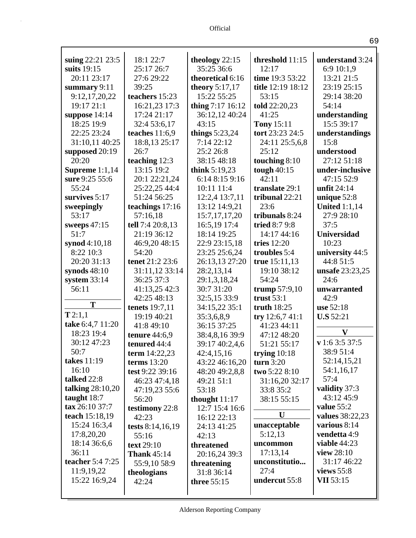| suing 22:21 23:5          | 18:1 22:7             | theology 22:15   | threshold 11:15   | understand 3:24    |
|---------------------------|-----------------------|------------------|-------------------|--------------------|
| suits 19:15               | 25:17 26:7            | 35:25 36:6       | 12:17             | 6:9 10:1,9         |
| 20:11 23:17               | 27:6 29:22            | theoretical 6:16 | time 19:3 53:22   | 13:21 21:5         |
| summary 9:11              | 39:25                 | theory $5:17,17$ | title 12:19 18:12 | 23:19 25:15        |
| 9:12,17,20,22             | teachers 15:23        | 15:22 55:25      | 53:15             | 29:14 38:20        |
| 19:17 21:1                | 16:21,23 17:3         | thing 7:17 16:12 | told 22:20,23     | 54:14              |
| suppose 14:14             | 17:24 21:17           | 36:12,12 40:24   | 41:25             | understanding      |
| 18:25 19:9                | 32:4 53:6,17          | 43:15            | <b>Tony 15:11</b> | 15:5 39:17         |
| 22:25 23:24               | teaches $11:6,9$      | things $5:23,24$ | tort 23:23 24:5   | understandings     |
| 31:10,11 40:25            | 18:8,13 25:17         | 7:14 22:12       | 24:11 25:5,6,8    | 15:8               |
| supposed 20:19            | 26:7                  | 25:2 26:8        | 25:12             | understood         |
| 20:20                     | teaching 12:3         | 38:15 48:18      | touching 8:10     | 27:12 51:18        |
| Supreme $1:1,14$          | 13:15 19:2            | think $5:19,23$  | tough $40:15$     | under-inclusive    |
| sure 9:25 55:6            | 20:1 22:21,24         | 6:14 8:15 9:16   | 42:11             | 47:15 52:9         |
| 55:24                     | 25:22,25 44:4         | 10:11 11:4       | translate 29:1    | unfit 24:14        |
| survives $5:17$           | 51:24 56:25           | 12:2,4 13:7,11   | tribunal 22:21    | unique $52:8$      |
| sweepingly                | teachings 17:16       | 13:12 14:9,21    | 23:6              | United $1:1,14$    |
| 53:17                     | 57:16,18              | 15:7, 17, 17, 20 | tribunals 8:24    | 27:9 28:10         |
| sweeps $47:15$            | tell 7:4 20:8,13      | 16:5,19 17:4     | tried 8:7 9:8     | 37:5               |
| 51:7                      | 21:19 36:12           | 18:14 19:25      | 14:17 44:16       | <b>Universidad</b> |
| synod 4:10,18             | 46:9,20 48:15         | 22:9 23:15,18    | tries 12:20       | 10:23              |
| 8:22 10:3                 | 54:20                 | 23:25 25:6,24    | troubles 5:4      | university 44:5    |
| 20:20 31:13               | tenet 21:2 23:6       | 26:13,13 27:20   | true $15:11,13$   | 44:8 51:5          |
| synods $48:10$            | 31:11,12 33:14        | 28:2,13,14       | 19:10 38:12       | unsafe 23:23,25    |
| system $33:14$            | 36:25 37:3            | 29:1,3,18,24     | 54:24             | 24:6               |
| 56:11                     | 41:13,25 42:3         | 30:7 31:20       | trump $57:9,10$   | unwarranted        |
|                           | 42:25 48:13           | 32:5,15 33:9     | trust $53:1$      | 42:9               |
| T                         | <b>tenets</b> 19:7,11 | 34:15,22 35:1    | truth $18:25$     | use 52:18          |
| T2:1,1                    | 19:19 40:21           | 35:3,6,8,9       | try $12:6,741:1$  | <b>U.S</b> 52:21   |
| take 6:4,7 11:20          | 41:8 49:10            | 36:15 37:25      | 41:23 44:11       | V                  |
| 18:23 19:4                | tenure $44:6,9$       | 38:4,8,16 39:9   | 47:12 48:20       |                    |
| 30:12 47:23               | tenured 44:4          | 39:17 40:2,4,6   | 51:21 55:17       | v 1:6 3:5 37:5     |
| 50:7                      | term 14:22,23         | 42:4,15,16       | trying $10:18$    | 38:9 51:4          |
| takes 11:19               | terms $13:20$         | 43:22 46:16,20   | turn $3:20$       | 52:14,15,21        |
| 16:10                     | test 9:22 39:16       | 48:20 49:2,8,8   | two 5:22 8:10     | 54:1,16,17         |
| talked 22:8               | 46:23 47:4,18         | 49:21 51:1       | 31:16,20 32:17    | 57:4               |
| talking $28:10,20$        | 47:19,23 55:6         | 53:18            | 33:8 35:2         | validity 37:3      |
| taught $18:7$             | 56:20                 | thought $11:17$  | 38:15 55:15       | 43:12 45:9         |
| $\textbf{tax } 26:1037:7$ | testimony 22:8        | 12:7 15:4 16:6   |                   | value $55:2$       |
| teach 15:18,19            | 42:23                 | 16:12 22:13      | U                 | values 38:22,23    |
| 15:24 16:3,4              | tests 8:14,16,19      | 24:13 41:25      | unacceptable      | various 8:14       |
| 17:8,20,20                | 55:16                 | 42:13            | 5:12,13           | vendetta 4:9       |
| 18:14 36:6,6              | text 29:10            | threatened       | uncommon          | viable $44:23$     |
| 36:11                     | <b>Thank 45:14</b>    | 20:16,24 39:3    | 17:13,14          | view 28:10         |
| teacher 5:4 7:25          | 55:9,10 58:9          | threatening      | unconstitutio     | 31:17 46:22        |
| 11:9,19,22                | theologians           | 31:8 36:14       | 27:4              | views $55:8$       |
| 15:22 16:9,24             | 42:24                 | three $55:15$    | undercut 55:8     | <b>VII</b> 53:15   |
|                           |                       |                  |                   |                    |